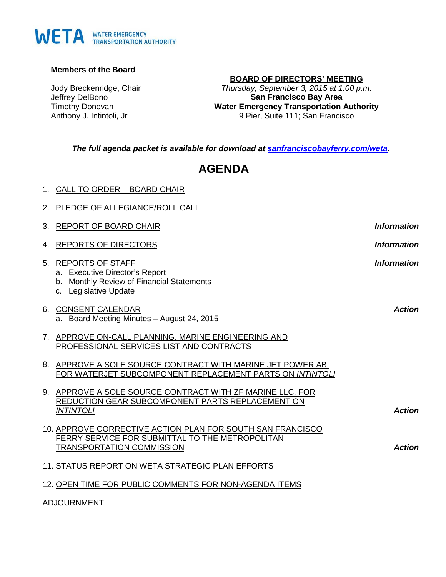# WETA WATER EMERGENCY

#### **Members of the Board**

Jody Breckenridge, Chair Jeffrey DelBono Timothy Donovan Anthony J. Intintoli, Jr

1. CALL TO ORDER – BOARD CHAIR

# **BOARD OF DIRECTORS' MEETING**

*Thursday, September 3, 2015 at 1:00 p.m.* **San Francisco Bay Area Water Emergency Transportation Authority** 9 Pier, Suite 111; San Francisco

*The full agenda packet is available for download at [sanfranciscobayferry.com/weta.](http://www.sanfranciscobayferry.com/weta/next-board-meeting)*

# **AGENDA**

|    | 2. PLEDGE OF ALLEGIANCE/ROLL CALL                                                                                                                 |                    |
|----|---------------------------------------------------------------------------------------------------------------------------------------------------|--------------------|
| 3. | REPORT OF BOARD CHAIR                                                                                                                             | <b>Information</b> |
|    | 4. REPORTS OF DIRECTORS                                                                                                                           | <b>Information</b> |
|    | 5. REPORTS OF STAFF<br>a. Executive Director's Report<br>b. Monthly Review of Financial Statements<br>c. Legislative Update                       | <b>Information</b> |
|    | 6. CONSENT CALENDAR<br>a. Board Meeting Minutes - August 24, 2015                                                                                 | <b>Action</b>      |
|    | 7. APPROVE ON-CALL PLANNING, MARINE ENGINEERING AND<br>PROFESSIONAL SERVICES LIST AND CONTRACTS                                                   |                    |
|    | 8. APPROVE A SOLE SOURCE CONTRACT WITH MARINE JET POWER AB,<br>FOR WATERJET SUBCOMPONENT REPLACEMENT PARTS ON INTINTOLI                           |                    |
|    | 9. APPROVE A SOLE SOURCE CONTRACT WITH ZF MARINE LLC, FOR<br>REDUCTION GEAR SUBCOMPONENT PARTS REPLACEMENT ON<br><b>INTINTOLI</b>                 | <b>Action</b>      |
|    | 10. APPROVE CORRECTIVE ACTION PLAN FOR SOUTH SAN FRANCISCO<br>FERRY SERVICE FOR SUBMITTAL TO THE METROPOLITAN<br><b>TRANSPORTATION COMMISSION</b> | <b>Action</b>      |
|    | 11. STATUS REPORT ON WETA STRATEGIC PLAN EFFORTS                                                                                                  |                    |
|    | 12. OPEN TIME FOR PUBLIC COMMENTS FOR NON-AGENDA ITEMS                                                                                            |                    |

#### ADJOURNMENT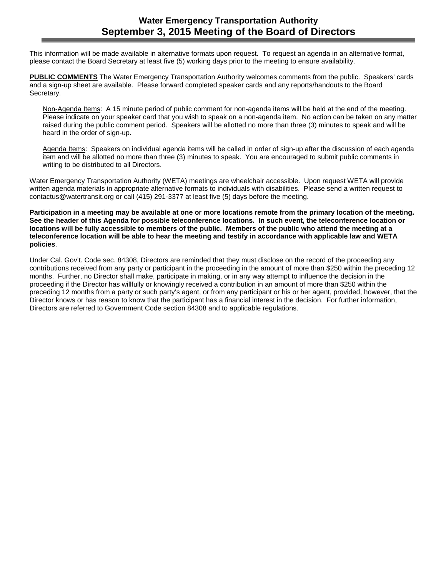# **Water Emergency Transportation Authority September 3, 2015 Meeting of the Board of Directors**

This information will be made available in alternative formats upon request. To request an agenda in an alternative format, please contact the Board Secretary at least five (5) working days prior to the meeting to ensure availability.

**PUBLIC COMMENTS** The Water Emergency Transportation Authority welcomes comments from the public. Speakers' cards and a sign-up sheet are available. Please forward completed speaker cards and any reports/handouts to the Board Secretary.

Non-Agenda Items: A 15 minute period of public comment for non-agenda items will be held at the end of the meeting. Please indicate on your speaker card that you wish to speak on a non-agenda item. No action can be taken on any matter raised during the public comment period. Speakers will be allotted no more than three (3) minutes to speak and will be heard in the order of sign-up.

Agenda Items: Speakers on individual agenda items will be called in order of sign-up after the discussion of each agenda item and will be allotted no more than three (3) minutes to speak. You are encouraged to submit public comments in writing to be distributed to all Directors.

Water Emergency Transportation Authority (WETA) meetings are wheelchair accessible. Upon request WETA will provide written agenda materials in appropriate alternative formats to individuals with disabilities. Please send a written request to contactus@watertransit.org or call (415) 291-3377 at least five (5) days before the meeting.

**Participation in a meeting may be available at one or more locations remote from the primary location of the meeting. See the header of this Agenda for possible teleconference locations. In such event, the teleconference location or locations will be fully accessible to members of the public. Members of the public who attend the meeting at a teleconference location will be able to hear the meeting and testify in accordance with applicable law and WETA policies**.

Under Cal. Gov't. Code sec. 84308, Directors are reminded that they must disclose on the record of the proceeding any contributions received from any party or participant in the proceeding in the amount of more than \$250 within the preceding 12 months. Further, no Director shall make, participate in making, or in any way attempt to influence the decision in the proceeding if the Director has willfully or knowingly received a contribution in an amount of more than \$250 within the preceding 12 months from a party or such party's agent, or from any participant or his or her agent, provided, however, that the Director knows or has reason to know that the participant has a financial interest in the decision. For further information, Directors are referred to Government Code section 84308 and to applicable regulations.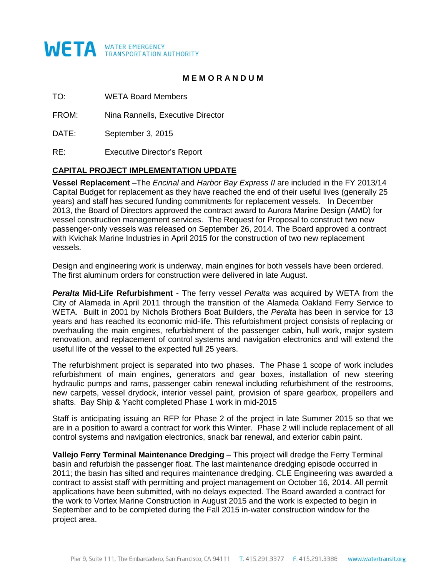

# **M E M O R A N D U M**

TO: WETA Board Members

FROM: Nina Rannells, Executive Director

DATE: September 3, 2015

RE: Executive Director's Report

#### **CAPITAL PROJECT IMPLEMENTATION UPDATE**

**Vessel Replacement** –The *Encinal* and *Harbor Bay Express II* are included in the FY 2013/14 Capital Budget for replacement as they have reached the end of their useful lives (generally 25 years) and staff has secured funding commitments for replacement vessels. In December 2013, the Board of Directors approved the contract award to Aurora Marine Design (AMD) for vessel construction management services. The Request for Proposal to construct two new passenger-only vessels was released on September 26, 2014. The Board approved a contract with Kvichak Marine Industries in April 2015 for the construction of two new replacement vessels.

Design and engineering work is underway, main engines for both vessels have been ordered. The first aluminum orders for construction were delivered in late August.

*Peralta* **Mid-Life Refurbishment -** The ferry vessel *Peralta* was acquired by WETA from the City of Alameda in April 2011 through the transition of the Alameda Oakland Ferry Service to WETA. Built in 2001 by Nichols Brothers Boat Builders, the *Peralta* has been in service for 13 years and has reached its economic mid-life. This refurbishment project consists of replacing or overhauling the main engines, refurbishment of the passenger cabin, hull work, major system renovation, and replacement of control systems and navigation electronics and will extend the useful life of the vessel to the expected full 25 years.

The refurbishment project is separated into two phases. The Phase 1 scope of work includes refurbishment of main engines, generators and gear boxes, installation of new steering hydraulic pumps and rams, passenger cabin renewal including refurbishment of the restrooms, new carpets, vessel drydock, interior vessel paint, provision of spare gearbox, propellers and shafts. Bay Ship & Yacht completed Phase 1 work in mid-2015

Staff is anticipating issuing an RFP for Phase 2 of the project in late Summer 2015 so that we are in a position to award a contract for work this Winter. Phase 2 will include replacement of all control systems and navigation electronics, snack bar renewal, and exterior cabin paint.

**Vallejo Ferry Terminal Maintenance Dredging** – This project will dredge the Ferry Terminal basin and refurbish the passenger float. The last maintenance dredging episode occurred in 2011; the basin has silted and requires maintenance dredging. CLE Engineering was awarded a contract to assist staff with permitting and project management on October 16, 2014. All permit applications have been submitted, with no delays expected. The Board awarded a contract for the work to Vortex Marine Construction in August 2015 and the work is expected to begin in September and to be completed during the Fall 2015 in-water construction window for the project area.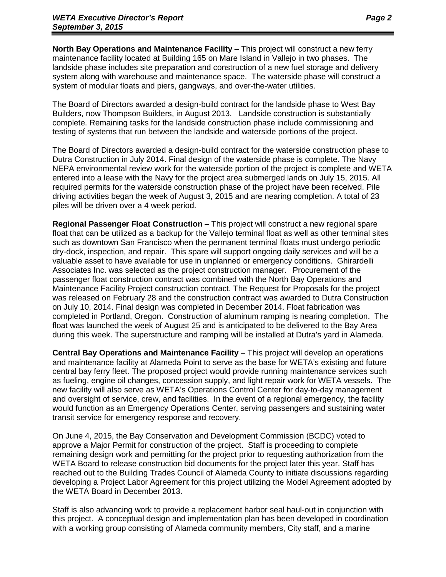**North Bay Operations and Maintenance Facility** – This project will construct a new ferry maintenance facility located at Building 165 on Mare Island in Vallejo in two phases. The landside phase includes site preparation and construction of a new fuel storage and delivery system along with warehouse and maintenance space. The waterside phase will construct a system of modular floats and piers, gangways, and over-the-water utilities.

The Board of Directors awarded a design-build contract for the landside phase to West Bay Builders, now Thompson Builders, in August 2013. Landside construction is substantially complete. Remaining tasks for the landside construction phase include commissioning and testing of systems that run between the landside and waterside portions of the project.

The Board of Directors awarded a design-build contract for the waterside construction phase to Dutra Construction in July 2014. Final design of the waterside phase is complete. The Navy NEPA environmental review work for the waterside portion of the project is complete and WETA entered into a lease with the Navy for the project area submerged lands on July 15, 2015. All required permits for the waterside construction phase of the project have been received. Pile driving activities began the week of August 3, 2015 and are nearing completion. A total of 23 piles will be driven over a 4 week period.

**Regional Passenger Float Construction** – This project will construct a new regional spare float that can be utilized as a backup for the Vallejo terminal float as well as other terminal sites such as downtown San Francisco when the permanent terminal floats must undergo periodic dry-dock, inspection, and repair. This spare will support ongoing daily services and will be a valuable asset to have available for use in unplanned or emergency conditions. Ghirardelli Associates Inc. was selected as the project construction manager. Procurement of the passenger float construction contract was combined with the North Bay Operations and Maintenance Facility Project construction contract. The Request for Proposals for the project was released on February 28 and the construction contract was awarded to Dutra Construction on July 10, 2014. Final design was completed in December 2014. Float fabrication was completed in Portland, Oregon. Construction of aluminum ramping is nearing completion. The float was launched the week of August 25 and is anticipated to be delivered to the Bay Area during this week. The superstructure and ramping will be installed at Dutra's yard in Alameda.

**Central Bay Operations and Maintenance Facility** – This project will develop an operations and maintenance facility at Alameda Point to serve as the base for WETA's existing and future central bay ferry fleet. The proposed project would provide running maintenance services such as fueling, engine oil changes, concession supply, and light repair work for WETA vessels. The new facility will also serve as WETA's Operations Control Center for day-to-day management and oversight of service, crew, and facilities. In the event of a regional emergency, the facility would function as an Emergency Operations Center, serving passengers and sustaining water transit service for emergency response and recovery.

On June 4, 2015, the Bay Conservation and Development Commission (BCDC) voted to approve a Major Permit for construction of the project. Staff is proceeding to complete remaining design work and permitting for the project prior to requesting authorization from the WETA Board to release construction bid documents for the project later this year. Staff has reached out to the Building Trades Council of Alameda County to initiate discussions regarding developing a Project Labor Agreement for this project utilizing the Model Agreement adopted by the WETA Board in December 2013.

Staff is also advancing work to provide a replacement harbor seal haul-out in conjunction with this project. A conceptual design and implementation plan has been developed in coordination with a working group consisting of Alameda community members, City staff, and a marine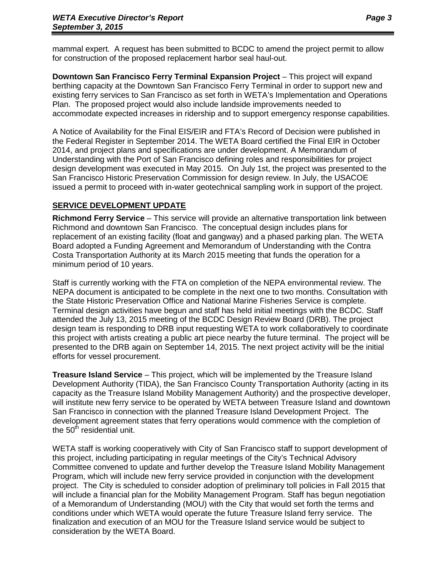mammal expert. A request has been submitted to BCDC to amend the project permit to allow for construction of the proposed replacement harbor seal haul-out.

**Downtown San Francisco Ferry Terminal Expansion Project** – This project will expand berthing capacity at the Downtown San Francisco Ferry Terminal in order to support new and existing ferry services to San Francisco as set forth in WETA's Implementation and Operations Plan. The proposed project would also include landside improvements needed to accommodate expected increases in ridership and to support emergency response capabilities.

A Notice of Availability for the Final EIS/EIR and FTA's Record of Decision were published in the Federal Register in September 2014. The WETA Board certified the Final EIR in October 2014, and project plans and specifications are under development. A Memorandum of Understanding with the Port of San Francisco defining roles and responsibilities for project design development was executed in May 2015. On July 1st, the project was presented to the San Francisco Historic Preservation Commission for design review. In July, the USACOE issued a permit to proceed with in-water geotechnical sampling work in support of the project.

#### **SERVICE DEVELOPMENT UPDATE**

**Richmond Ferry Service** – This service will provide an alternative transportation link between Richmond and downtown San Francisco. The conceptual design includes plans for replacement of an existing facility (float and gangway) and a phased parking plan. The WETA Board adopted a Funding Agreement and Memorandum of Understanding with the Contra Costa Transportation Authority at its March 2015 meeting that funds the operation for a minimum period of 10 years.

Staff is currently working with the FTA on completion of the NEPA environmental review. The NEPA document is anticipated to be complete in the next one to two months. Consultation with the State Historic Preservation Office and National Marine Fisheries Service is complete. Terminal design activities have begun and staff has held initial meetings with the BCDC. Staff attended the July 13, 2015 meeting of the BCDC Design Review Board (DRB). The project design team is responding to DRB input requesting WETA to work collaboratively to coordinate this project with artists creating a public art piece nearby the future terminal. The project will be presented to the DRB again on September 14, 2015. The next project activity will be the initial efforts for vessel procurement.

**Treasure Island Service** – This project, which will be implemented by the Treasure Island Development Authority (TIDA), the San Francisco County Transportation Authority (acting in its capacity as the Treasure Island Mobility Management Authority) and the prospective developer, will institute new ferry service to be operated by WETA between Treasure Island and downtown San Francisco in connection with the planned Treasure Island Development Project. The development agreement states that ferry operations would commence with the completion of the  $50<sup>th</sup>$  residential unit.

WETA staff is working cooperatively with City of San Francisco staff to support development of this project, including participating in regular meetings of the City's Technical Advisory Committee convened to update and further develop the Treasure Island Mobility Management Program, which will include new ferry service provided in conjunction with the development project. The City is scheduled to consider adoption of preliminary toll policies in Fall 2015 that will include a financial plan for the Mobility Management Program. Staff has begun negotiation of a Memorandum of Understanding (MOU) with the City that would set forth the terms and conditions under which WETA would operate the future Treasure Island ferry service. The finalization and execution of an MOU for the Treasure Island service would be subject to consideration by the WETA Board.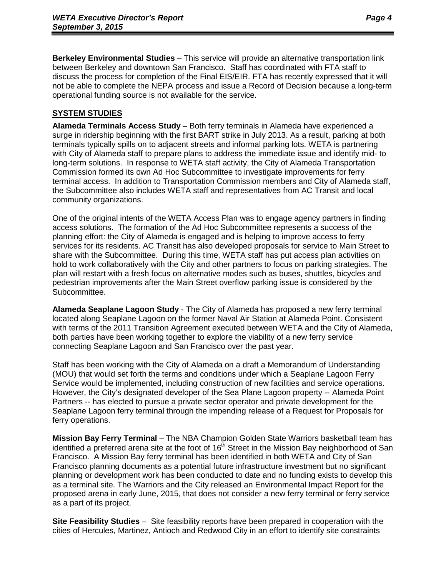**Berkeley Environmental Studies** – This service will provide an alternative transportation link between Berkeley and downtown San Francisco. Staff has coordinated with FTA staff to discuss the process for completion of the Final EIS/EIR. FTA has recently expressed that it will not be able to complete the NEPA process and issue a Record of Decision because a long-term operational funding source is not available for the service.

# **SYSTEM STUDIES**

**Alameda Terminals Access Study** – Both ferry terminals in Alameda have experienced a surge in ridership beginning with the first BART strike in July 2013. As a result, parking at both terminals typically spills on to adjacent streets and informal parking lots. WETA is partnering with City of Alameda staff to prepare plans to address the immediate issue and identify mid- to long-term solutions. In response to WETA staff activity, the City of Alameda Transportation Commission formed its own Ad Hoc Subcommittee to investigate improvements for ferry terminal access. In addition to Transportation Commission members and City of Alameda staff, the Subcommittee also includes WETA staff and representatives from AC Transit and local community organizations.

One of the original intents of the WETA Access Plan was to engage agency partners in finding access solutions. The formation of the Ad Hoc Subcommittee represents a success of the planning effort: the City of Alameda is engaged and is helping to improve access to ferry services for its residents. AC Transit has also developed proposals for service to Main Street to share with the Subcommittee. During this time, WETA staff has put access plan activities on hold to work collaboratively with the City and other partners to focus on parking strategies. The plan will restart with a fresh focus on alternative modes such as buses, shuttles, bicycles and pedestrian improvements after the Main Street overflow parking issue is considered by the Subcommittee.

**Alameda Seaplane Lagoon Study** - The City of Alameda has proposed a new ferry terminal located along Seaplane Lagoon on the former Naval Air Station at Alameda Point. Consistent with terms of the 2011 Transition Agreement executed between WETA and the City of Alameda, both parties have been working together to explore the viability of a new ferry service connecting Seaplane Lagoon and San Francisco over the past year.

Staff has been working with the City of Alameda on a draft a Memorandum of Understanding (MOU) that would set forth the terms and conditions under which a Seaplane Lagoon Ferry Service would be implemented, including construction of new facilities and service operations. However, the City's designated developer of the Sea Plane Lagoon property -- Alameda Point Partners -- has elected to pursue a private sector operator and private development for the Seaplane Lagoon ferry terminal through the impending release of a Request for Proposals for ferry operations.

**Mission Bay Ferry Terminal** – The NBA Champion Golden State Warriors basketball team has identified a preferred arena site at the foot of  $16<sup>th</sup>$  Street in the Mission Bay neighborhood of San Francisco. A Mission Bay ferry terminal has been identified in both WETA and City of San Francisco planning documents as a potential future infrastructure investment but no significant planning or development work has been conducted to date and no funding exists to develop this as a terminal site. The Warriors and the City released an Environmental Impact Report for the proposed arena in early June, 2015, that does not consider a new ferry terminal or ferry service as a part of its project.

**Site Feasibility Studies** – Site feasibility reports have been prepared in cooperation with the cities of Hercules, Martinez, Antioch and Redwood City in an effort to identify site constraints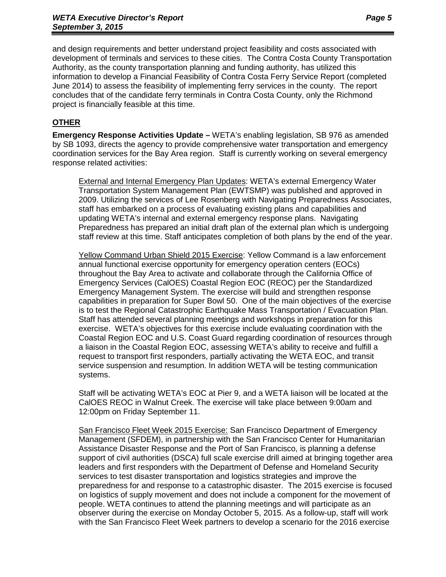and design requirements and better understand project feasibility and costs associated with development of terminals and services to these cities. The Contra Costa County Transportation Authority, as the county transportation planning and funding authority, has utilized this information to develop a Financial Feasibility of Contra Costa Ferry Service Report (completed June 2014) to assess the feasibility of implementing ferry services in the county. The report concludes that of the candidate ferry terminals in Contra Costa County, only the Richmond project is financially feasible at this time.

# **OTHER**

**Emergency Response Activities Update –** WETA's enabling legislation, SB 976 as amended by SB 1093, directs the agency to provide comprehensive water transportation and emergency coordination services for the Bay Area region. Staff is currently working on several emergency response related activities:

External and Internal Emergency Plan Updates: WETA's external Emergency Water Transportation System Management Plan (EWTSMP) was published and approved in 2009. Utilizing the services of Lee Rosenberg with Navigating Preparedness Associates, staff has embarked on a process of evaluating existing plans and capabilities and updating WETA's internal and external emergency response plans. Navigating Preparedness has prepared an initial draft plan of the external plan which is undergoing staff review at this time. Staff anticipates completion of both plans by the end of the year.

Yellow Command Urban Shield 2015 Exercise: Yellow Command is a law enforcement annual functional exercise opportunity for emergency operation centers (EOCs) throughout the Bay Area to activate and collaborate through the California Office of Emergency Services (CalOES) Coastal Region EOC (REOC) per the Standardized Emergency Management System. The exercise will build and strengthen response capabilities in preparation for Super Bowl 50. One of the main objectives of the exercise is to test the Regional Catastrophic Earthquake Mass Transportation / Evacuation Plan. Staff has attended several planning meetings and workshops in preparation for this exercise. WETA's objectives for this exercise include evaluating coordination with the Coastal Region EOC and U.S. Coast Guard regarding coordination of resources through a liaison in the Coastal Region EOC, assessing WETA's ability to receive and fulfill a request to transport first responders, partially activating the WETA EOC, and transit service suspension and resumption. In addition WETA will be testing communication systems.

Staff will be activating WETA's EOC at Pier 9, and a WETA liaison will be located at the CalOES REOC in Walnut Creek. The exercise will take place between 9:00am and 12:00pm on Friday September 11.

San Francisco Fleet Week 2015 Exercise: San Francisco Department of Emergency Management (SFDEM), in partnership with the San Francisco Center for Humanitarian Assistance Disaster Response and the Port of San Francisco, is planning a defense support of civil authorities (DSCA) full scale exercise drill aimed at bringing together area leaders and first responders with the Department of Defense and Homeland Security services to test disaster transportation and logistics strategies and improve the preparedness for and response to a catastrophic disaster. The 2015 exercise is focused on logistics of supply movement and does not include a component for the movement of people. WETA continues to attend the planning meetings and will participate as an observer during the exercise on Monday October 5, 2015. As a follow-up, staff will work with the San Francisco Fleet Week partners to develop a scenario for the 2016 exercise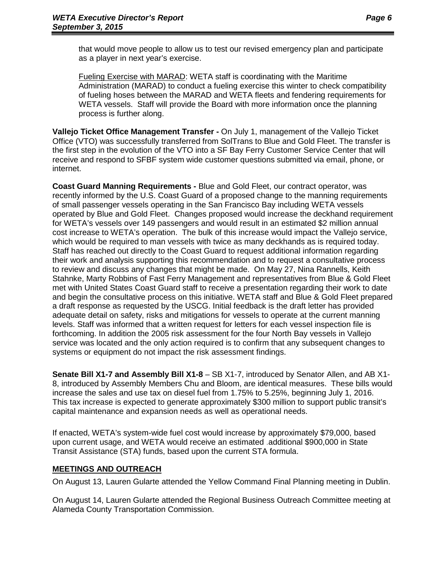that would move people to allow us to test our revised emergency plan and participate as a player in next year's exercise.

Fueling Exercise with MARAD: WETA staff is coordinating with the Maritime Administration (MARAD) to conduct a fueling exercise this winter to check compatibility of fueling hoses between the MARAD and WETA fleets and fendering requirements for WETA vessels. Staff will provide the Board with more information once the planning process is further along.

**Vallejo Ticket Office Management Transfer -** On July 1, management of the Vallejo Ticket Office (VTO) was successfully transferred from SolTrans to Blue and Gold Fleet. The transfer is the first step in the evolution of the VTO into a SF Bay Ferry Customer Service Center that will receive and respond to SFBF system wide customer questions submitted via email, phone, or internet.

**Coast Guard Manning Requirements -** Blue and Gold Fleet, our contract operator, was recently informed by the U.S. Coast Guard of a proposed change to the manning requirements of small passenger vessels operating in the San Francisco Bay including WETA vessels operated by Blue and Gold Fleet. Changes proposed would increase the deckhand requirement for WETA's vessels over 149 passengers and would result in an estimated \$2 million annual cost increase to WETA's operation. The bulk of this increase would impact the Vallejo service, which would be required to man vessels with twice as many deckhands as is required today. Staff has reached out directly to the Coast Guard to request additional information regarding their work and analysis supporting this recommendation and to request a consultative process to review and discuss any changes that might be made. On May 27, Nina Rannells, Keith Stahnke, Marty Robbins of Fast Ferry Management and representatives from Blue & Gold Fleet met with United States Coast Guard staff to receive a presentation regarding their work to date and begin the consultative process on this initiative. WETA staff and Blue & Gold Fleet prepared a draft response as requested by the USCG. Initial feedback is the draft letter has provided adequate detail on safety, risks and mitigations for vessels to operate at the current manning levels. Staff was informed that a written request for letters for each vessel inspection file is forthcoming. In addition the 2005 risk assessment for the four North Bay vessels in Vallejo service was located and the only action required is to confirm that any subsequent changes to systems or equipment do not impact the risk assessment findings.

**Senate Bill X1-7 and Assembly Bill X1-8** – SB X1-7, introduced by Senator Allen, and AB X1- 8, introduced by Assembly Members Chu and Bloom, are identical measures. These bills would increase the sales and use tax on diesel fuel from 1.75% to 5.25%, beginning July 1, 2016. This tax increase is expected to generate approximately \$300 million to support public transit's capital maintenance and expansion needs as well as operational needs.

If enacted, WETA's system-wide fuel cost would increase by approximately \$79,000, based upon current usage, and WETA would receive an estimated .additional \$900,000 in State Transit Assistance (STA) funds, based upon the current STA formula.

# **MEETINGS AND OUTREACH**

On August 13, Lauren Gularte attended the Yellow Command Final Planning meeting in Dublin.

On August 14, Lauren Gularte attended the Regional Business Outreach Committee meeting at Alameda County Transportation Commission.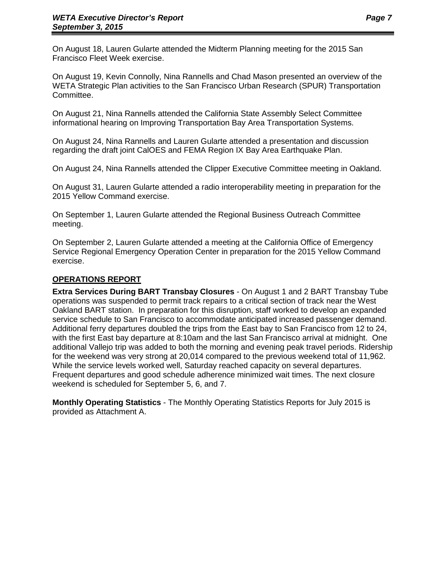On August 18, Lauren Gularte attended the Midterm Planning meeting for the 2015 San Francisco Fleet Week exercise.

On August 19, Kevin Connolly, Nina Rannells and Chad Mason presented an overview of the WETA Strategic Plan activities to the San Francisco Urban Research (SPUR) Transportation Committee.

On August 21, Nina Rannells attended the California State Assembly Select Committee informational hearing on Improving Transportation Bay Area Transportation Systems.

On August 24, Nina Rannells and Lauren Gularte attended a presentation and discussion regarding the draft joint CalOES and FEMA Region IX Bay Area Earthquake Plan.

On August 24, Nina Rannells attended the Clipper Executive Committee meeting in Oakland.

On August 31, Lauren Gularte attended a radio interoperability meeting in preparation for the 2015 Yellow Command exercise.

On September 1, Lauren Gularte attended the Regional Business Outreach Committee meeting.

On September 2, Lauren Gularte attended a meeting at the California Office of Emergency Service Regional Emergency Operation Center in preparation for the 2015 Yellow Command exercise.

#### **OPERATIONS REPORT**

**Extra Services During BART Transbay Closures** - On August 1 and 2 BART Transbay Tube operations was suspended to permit track repairs to a critical section of track near the West Oakland BART station. In preparation for this disruption, staff worked to develop an expanded service schedule to San Francisco to accommodate anticipated increased passenger demand. Additional ferry departures doubled the trips from the East bay to San Francisco from 12 to 24, with the first East bay departure at 8:10am and the last San Francisco arrival at midnight. One additional Vallejo trip was added to both the morning and evening peak travel periods. Ridership for the weekend was very strong at 20,014 compared to the previous weekend total of 11,962. While the service levels worked well, Saturday reached capacity on several departures. Frequent departures and good schedule adherence minimized wait times. The next closure weekend is scheduled for September 5, 6, and 7.

**Monthly Operating Statistics** - The Monthly Operating Statistics Reports for July 2015 is provided as Attachment A.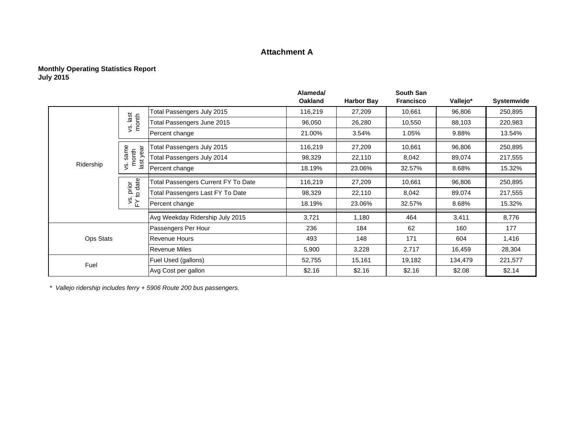#### **Attachment A**

#### **Monthly Operating Statistics Report July 2015**

|                  |                      |                                     | Alameda/       |                   | <b>South San</b> |          |            |
|------------------|----------------------|-------------------------------------|----------------|-------------------|------------------|----------|------------|
|                  |                      |                                     | <b>Oakland</b> | <b>Harbor Bay</b> | <b>Francisco</b> | Vallejo* | Systemwide |
|                  |                      | Total Passengers July 2015          | 116,219        | 27,209            | 10,661           | 96,806   | 250,895    |
|                  | vs. last<br>month    | Total Passengers June 2015          | 96,050         | 26,280            | 10,550           | 88,103   | 220,983    |
|                  |                      | Percent change                      | 21.00%         | 3.54%             | 1.05%            | 9.88%    | 13.54%     |
|                  | ear                  | Total Passengers July 2015          | 116,219        | 27,209            | 10,661           | 96,806   | 250,895    |
|                  | s.same<br>month      | Total Passengers July 2014          | 98,329         | 22,110            | 8,042            | 89,074   | 217,555    |
| Ridership        | $\frac{1}{2}$<br>vs. | Percent change                      | 18.19%         | 23.06%            | 32.57%           | 8.68%    | 15.32%     |
|                  | prior<br>to date     | Total Passengers Current FY To Date | 116,219        | 27,209            | 10,661           | 96,806   | 250,895    |
|                  |                      | Total Passengers Last FY To Date    | 98,329         | 22,110            | 8,042            | 89,074   | 217,555    |
|                  | $\frac{1}{2}$        | Percent change                      | 18.19%         | 23.06%            | 32.57%           | 8.68%    | 15.32%     |
|                  |                      | Avg Weekday Ridership July 2015     | 3,721          | 1,180             | 464              | 3,411    | 8,776      |
|                  |                      | Passengers Per Hour                 | 236            | 184               | 62               | 160      | 177        |
| <b>Ops Stats</b> | <b>Revenue Hours</b> |                                     | 493            | 148               | 171              | 604      | 1,416      |
|                  |                      | <b>Revenue Miles</b>                | 5,900          | 3,228             | 2,717            | 16,459   | 28,304     |
| Fuel             |                      | Fuel Used (gallons)                 | 52,755         | 15,161            | 19,182           | 134,479  | 221,577    |
|                  |                      | Avg Cost per gallon                 | \$2.16         | \$2.16            | \$2.16           | \$2.08   | \$2.14     |

*\* Vallejo ridership includes ferry + 5906 Route 200 bus passengers.*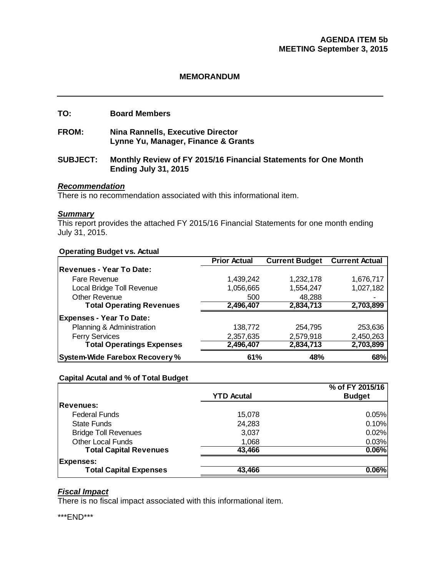#### **MEMORANDUM**

#### **TO: Board Members**

**FROM: Nina Rannells, Executive Director Lynne Yu, Manager, Finance & Grants** 

#### **SUBJECT: Monthly Review of FY 2015/16 Financial Statements for One Month Ending July 31, 2015**

#### *Recommendation*

There is no recommendation associated with this informational item.

#### *Summary*

This report provides the attached FY 2015/16 Financial Statements for one month ending July 31, 2015.

#### **Operating Budget vs. Actual**

|                                       | <b>Prior Actual</b> | <b>Current Budget</b> | <b>Current Actual</b> |
|---------------------------------------|---------------------|-----------------------|-----------------------|
| Revenues - Year To Date:              |                     |                       |                       |
| Fare Revenue                          | 1,439,242           | 1,232,178             | 1,676,717             |
| Local Bridge Toll Revenue             | 1,056,665           | 1,554,247             | 1,027,182             |
| <b>Other Revenue</b>                  | 500                 | 48,288                |                       |
| <b>Total Operating Revenues</b>       | 2,496,407           | 2,834,713             | 2,703,899             |
| <b>Expenses - Year To Date:</b>       |                     |                       |                       |
| Planning & Administration             | 138,772             | 254,795               | 253,636               |
| <b>Ferry Services</b>                 | 2,357,635           | 2,579,918             | 2,450,263             |
| <b>Total Operatings Expenses</b>      | 2,496,407           | 2,834,713             | 2,703,899             |
| <b>System-Wide Farebox Recovery %</b> | 61%                 | 48%                   | 68%                   |

#### **Capital Acutal and % of Total Budget**

|                               |                   | % of FY 2015/16 |
|-------------------------------|-------------------|-----------------|
|                               | <b>YTD Acutal</b> | <b>Budget</b>   |
| <b>Revenues:</b>              |                   |                 |
| <b>Federal Funds</b>          | 15,078            | 0.05%           |
| <b>State Funds</b>            | 24,283            | 0.10%           |
| <b>Bridge Toll Revenues</b>   | 3,037             | 0.02%           |
| <b>Other Local Funds</b>      | 1,068             | 0.03%           |
| <b>Total Capital Revenues</b> | 43,466            | 0.06%           |
| <b>Expenses:</b>              |                   |                 |
| <b>Total Capital Expenses</b> | 43,466            | 0.06%           |

# *Fiscal Impact*

There is no fiscal impact associated with this informational item.

\*\*\*END\*\*\*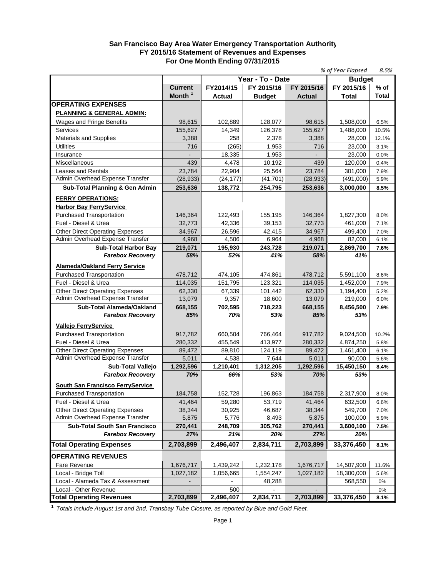#### **San Francisco Bay Area Water Emergency Transportation Authority FY 2015/16 Statement of Revenues and Expenses For One Month Ending 07/31/2015**

|                                                         |                    |           |                   |                   | % of Year Elapsed    | 8.5%         |
|---------------------------------------------------------|--------------------|-----------|-------------------|-------------------|----------------------|--------------|
|                                                         |                    |           | Year - To - Date  |                   | <b>Budget</b>        |              |
|                                                         | <b>Current</b>     | FY2014/15 | FY 2015/16        | FY 2015/16        | FY 2015/16           | $%$ of       |
|                                                         | Month <sup>1</sup> | Actual    | <b>Budget</b>     | <b>Actual</b>     | Total                | Total        |
| <b>OPERATING EXPENSES</b>                               |                    |           |                   |                   |                      |              |
| <b>PLANNING &amp; GENERAL ADMIN:</b>                    |                    |           |                   |                   |                      |              |
| Wages and Fringe Benefits                               | 98,615             | 102,889   | 128,077           | 98,615            | 1,508,000            | 6.5%         |
| Services                                                | 155,627            | 14,349    | 126,378           | 155,627           | 1,488,000            | 10.5%        |
| <b>Materials and Supplies</b>                           | 3,388              | 258       | 2,378             | 3,388             | 28,000               | 12.1%        |
| <b>Utilities</b>                                        | 716                | (265)     | 1.953             | 716               | 23,000               | 3.1%         |
| Insurance                                               |                    | 18,335    | 1,953             |                   | 23,000               | 0.0%         |
| Miscellaneous                                           | 439                | 4,478     | 10,192            | 439               | 120,000              | 0.4%         |
| Leases and Rentals                                      | 23.784             | 22.904    | 25,564            | 23,784            | 301,000              | 7.9%         |
| Admin Overhead Expense Transfer                         | (28, 933)          | (24, 177) | (41, 701)         | (28, 933)         | (491,000)            | 5.9%         |
| <b>Sub-Total Planning &amp; Gen Admin</b>               | 253,636            | 138,772   | 254,795           | 253,636           | 3,000,000            | 8.5%         |
| <b>FERRY OPERATIONS:</b>                                |                    |           |                   |                   |                      |              |
| <b>Harbor Bay FerryService</b>                          |                    |           |                   |                   |                      |              |
|                                                         | 146,364            | 122,493   |                   |                   |                      |              |
| <b>Purchased Transportation</b><br>Fuel - Diesel & Urea | 32,773             | 42,336    | 155,195<br>39,153 | 146,364<br>32,773 | 1,827,300<br>461,000 | 8.0%<br>7.1% |
| <b>Other Direct Operating Expenses</b>                  | 34,967             | 26,596    | 42,415            |                   |                      |              |
| Admin Overhead Expense Transfer                         | 4,968              | 4,506     | 6,964             | 34,967<br>4,968   | 499,400<br>82,000    | 7.0%<br>6.1% |
| <b>Sub-Total Harbor Bay</b>                             | 219,071            | 195,930   | 243,728           | 219,071           | 2,869,700            | 7.6%         |
| <b>Farebox Recovery</b>                                 | 58%                | 52%       | 41%               | 58%               | 41%                  |              |
|                                                         |                    |           |                   |                   |                      |              |
| <b>Alameda/Oakland Ferry Service</b>                    |                    |           |                   |                   |                      |              |
| <b>Purchased Transportation</b>                         | 478,712            | 474,105   | 474,861           | 478,712           | 5,591,100            | 8.6%         |
| Fuel - Diesel & Urea                                    | 114,035            | 151,795   | 123,321           | 114,035           | 1,452,000            | 7.9%         |
| <b>Other Direct Operating Expenses</b>                  | 62,330             | 67,339    | 101,442           | 62,330            | 1,194,400            | 5.2%         |
| Admin Overhead Expense Transfer                         | 13,079             | 9,357     | 18,600            | 13,079            | 219,000              | 6.0%         |
| <b>Sub-Total Alameda/Oakland</b>                        | 668,155            | 702,595   | 718,223           | 668,155           | 8,456,500            | 7.9%         |
| <b>Farebox Recovery</b>                                 | 85%                | 70%       | 53%               | 85%               | 53%                  |              |
| <b>Vallejo FerryService</b>                             |                    |           |                   |                   |                      |              |
| Purchased Transportation                                | 917,782            | 660,504   | 766,464           | 917,782           | 9,024,500            | 10.2%        |
| Fuel - Diesel & Urea                                    | 280,332            | 455,549   | 413,977           | 280,332           | 4,874,250            | 5.8%         |
| <b>Other Direct Operating Expenses</b>                  | 89,472             | 89,810    | 124.119           | 89,472            | 1,461,400            | 6.1%         |
| Admin Overhead Expense Transfer                         | 5,011              | 4,538     | 7,644             | 5,011             | 90,000               | 5.6%         |
| <b>Sub-Total Valleio</b>                                | 1,292,596          | 1,210,401 | 1,312,205         | 1,292,596         | 15.450.150           | 8.4%         |
| <b>Farebox Recovery</b>                                 | 70%                | 66%       | 53%               | 70%               | 53%                  |              |
| South San Francisco FerryService                        |                    |           |                   |                   |                      |              |
| Purchased Transportation                                | 184,758            | 152,728   | 196,863           | 184,758           | 2,317,900            | 8.0%         |
| Fuel - Diesel & Urea                                    | 41,464             | 59,280    | 53,719            | 41,464            | 632,500              | 6.6%         |
| <b>Other Direct Operating Expenses</b>                  | 38,344             | 30,925    | 46,687            | 38,344            | 549,700              | 7.0%         |
| Admin Overhead Expense Transfer                         | 5,875              | 5,776     | 8,493             | 5,875             | 100,000              | 5.9%         |
| <b>Sub-Total South San Francisco</b>                    | 270,441            | 248,709   | 305,762           | 270,441           | 3,600,100            | 7.5%         |
| <b>Farebox Recovery</b>                                 | 27%                | 21%       | 20%               | 27%               | 20%                  |              |
|                                                         |                    |           |                   |                   |                      |              |
| <b>Total Operating Expenses</b>                         | 2,703,899          | 2,496,407 | 2,834,711         | 2,703,899         | 33,376,450           | 8.1%         |
| <b>OPERATING REVENUES</b>                               |                    |           |                   |                   |                      |              |
| Fare Revenue                                            | 1,676,717          | 1,439,242 | 1,232,178         | 1,676,717         | 14,507,900           | 11.6%        |
| Local - Bridge Toll                                     | 1,027,182          | 1,056,665 | 1,554,247         | 1,027,182         | 18,300,000           | 5.6%         |
| Local - Alameda Tax & Assessment                        |                    |           | 48,288            |                   | 568,550              | 0%           |
| Local - Other Revenue                                   |                    | 500       |                   |                   |                      | 0%           |
| <b>Total Operating Revenues</b>                         | 2,703,899          | 2,496,407 | 2,834,711         | 2,703,899         | 33,376,450           | 8.1%         |

**<sup>1</sup>***Totals include August 1st and 2nd, Transbay Tube Closure, as reported by Blue and Gold Fleet.*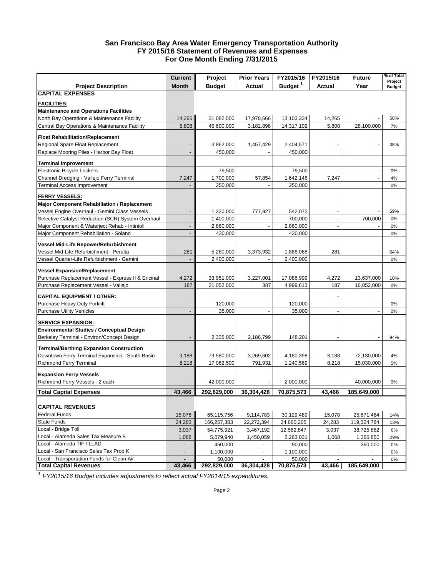#### **San Francisco Bay Area Water Emergency Transportation Authority FY 2015/16 Statement of Revenues and Expenses For One Month Ending 7/31/2015**

|                                                                                                    | <b>Current</b>           | Project                  | <b>Prior Years</b>       | FY2015/16              | FY2015/16      | <b>Future</b>            | % of Total               |
|----------------------------------------------------------------------------------------------------|--------------------------|--------------------------|--------------------------|------------------------|----------------|--------------------------|--------------------------|
| <b>Project Description</b>                                                                         | <b>Month</b>             | <b>Budget</b>            | <b>Actual</b>            | Budget <sup>1</sup>    | Actual         | Year                     | Project<br><b>Budget</b> |
| <b>CAPITAL EXPENSES</b>                                                                            |                          |                          |                          |                        |                |                          |                          |
|                                                                                                    |                          |                          |                          |                        |                |                          |                          |
| <b>FACILITIES:</b><br><b>Maintenance and Operations Facilities</b>                                 |                          |                          |                          |                        |                |                          |                          |
| North Bay Operations & Maintenance Facility                                                        | 14,265                   | 31,082,000               | 17,978,666               | 13,103,334             | 14,265         |                          | 58%                      |
|                                                                                                    |                          |                          | 3,182,898                |                        |                |                          |                          |
| Central Bay Operations & Maintenance Facility                                                      | 5,808                    | 45,600,000               |                          | 14,317,102             | 5,808          | 28,100,000               | 7%                       |
| <b>Float Rehabilitation/Replacement</b>                                                            |                          |                          |                          |                        |                |                          |                          |
| Regional Spare Float Replacement                                                                   |                          | 3,862,000                | 1,457,429                | 2,404,571              |                |                          | 38%                      |
| Replace Mooring Piles - Harbor Bay Float                                                           |                          | 450,000                  |                          | 450,000                |                |                          |                          |
| <b>Terminal Improvement</b>                                                                        |                          |                          |                          |                        |                |                          |                          |
| Electronic Bicycle Lockers                                                                         |                          | 79,500                   |                          | 79,500                 |                |                          | 0%                       |
| Channel Dredging - Vallejo Ferry Terminal                                                          | 7,247                    | 1,700,000                | 57,854                   | 1,642,146              | 7,247          |                          | 4%                       |
| <b>Terminal Access Improvement</b>                                                                 |                          | 250,000                  |                          | 250,000                |                |                          | 0%                       |
| <b>FERRY VESSELS:</b>                                                                              |                          |                          |                          |                        |                |                          |                          |
| <b>Major Component Rehabiliation / Replacement</b>                                                 |                          |                          |                          |                        |                |                          |                          |
| Vessel Engine Overhaul - Gemini Class Vessels                                                      |                          | 1,320,000                | 777,927                  | 542,073                |                |                          | 59%                      |
| Selective Catalyst Reduction (SCR) System Overhaul                                                 |                          | 1,400,000                |                          | 700,000                |                | 700,000                  | 0%                       |
| Major Component & Waterject Rehab - Intintoli                                                      |                          | 2,860,000                |                          | 2,860,000              |                |                          | 0%                       |
| Major Component Rehabiliation - Solano                                                             |                          | 430,000                  |                          | 430,000                |                |                          | 0%                       |
|                                                                                                    |                          |                          |                          |                        |                |                          |                          |
| Vessel Mid-Life Repower/Refurbishment                                                              |                          |                          |                          |                        |                |                          |                          |
| Vessel Mid-Life Refurbishment - Peralta                                                            | 281                      | 5,260,000                | 3,373,932                | 1,886,068              | 281            |                          | 64%                      |
| Vessel Quarter-Life Refurbishment - Gemini                                                         |                          | 2,400,000                |                          | 2,400,000              |                |                          | 0%                       |
| <b>Vessel Expansion/Replacement</b>                                                                |                          |                          |                          |                        |                |                          |                          |
| Purchase Replacement Vessel - Express II & Encinal                                                 | 4,272                    | 33,951,000               | 3,227,001                | 17,086,999             | 4,272          | 13,637,000               | 10%                      |
| Purchase Replacement Vessel - Vallejo                                                              | 187                      | 21,052,000               | 387                      | 4,999,613              | 187            | 16,052,000               | 0%                       |
|                                                                                                    |                          |                          |                          |                        |                |                          |                          |
| <b>CAPITAL EQUIPMENT / OTHER:</b>                                                                  |                          |                          |                          |                        |                |                          |                          |
| Purchase Heavy Duty Forklift                                                                       |                          | 120,000                  |                          | 120,000                |                |                          | 0%                       |
| <b>Purchase Utility Vehicles</b>                                                                   |                          | 35,000                   |                          | 35,000                 |                |                          | 0%                       |
| <u>SERVICE EXPANSION:</u>                                                                          |                          |                          |                          |                        |                |                          |                          |
| <b>Environmental Studies / Conceptual Design</b>                                                   |                          |                          |                          |                        |                |                          |                          |
| Berkeley Terminal - Environ/Concept Design                                                         |                          | 2,335,000                | 2,186,799                | 148,201                |                |                          | 94%                      |
|                                                                                                    |                          |                          |                          |                        |                |                          |                          |
| <b>Terminal/Berthing Expansion Construction</b><br>Downtown Ferry Terminal Expansion - South Basin |                          |                          |                          |                        |                |                          |                          |
| <b>Richmond Ferry Terminal</b>                                                                     | 3,188<br>8,218           | 79,580,000<br>17,062,500 | 3,269,602<br>791,931     | 4,180,398<br>1,240,569 | 3,188<br>8,218 | 72,130,000<br>15,030,000 | 4%<br>5%                 |
|                                                                                                    |                          |                          |                          |                        |                |                          |                          |
| <b>Expansion Ferry Vessels</b>                                                                     |                          |                          |                          |                        |                |                          |                          |
| Richmond Ferry Vessels - 2 each                                                                    |                          | 42,000,000               |                          | 2,000,000              |                | 40,000,000               | 0%                       |
| <b>Total Capital Expenses</b>                                                                      | 43,466                   | 292,829,000              | 36,304,428               | 70,875,573             | 43,466         | 185,649,000              |                          |
|                                                                                                    |                          |                          |                          |                        |                |                          |                          |
| <b>CAPITAL REVENUES</b>                                                                            |                          |                          |                          |                        |                |                          |                          |
| Federal Funds                                                                                      | 15,078                   | 65,115,756               | 9,114,783                | 30,129,489             | 15,078         | 25,871,484               | 14%                      |
| <b>State Funds</b>                                                                                 | 24,283                   | 166,257,383              | 22,272,394               | 24,660,205             | 24,283         | 119,324,784              | 13%                      |
| Local - Bridge Toll                                                                                | 3,037                    | 54,775,921               | 3,467,192                | 12,582,847             | 3,037          | 38,725,882               | 6%                       |
| Local - Alameda Sales Tax Measure B                                                                | 1,068                    | 5,079,940                | 1,450,059                | 2,263,031              | 1,068          | 1,366,850                | 29%                      |
| Local - Alameda TIF / LLAD                                                                         | $\overline{\phantom{a}}$ | 450,000                  | $\overline{\phantom{a}}$ | 90,000                 |                | 360,000                  | $0\%$                    |
| Local - San Francisco Sales Tax Prop K                                                             | $\blacksquare$           | 1,100,000                | $\blacksquare$           | 1,100,000              |                |                          | $0\%$                    |
| Local - Transportation Funds for Clean Air                                                         |                          | 50,000                   |                          | 50,000                 |                |                          | $0\%$                    |
| <b>Total Capital Revenues</b>                                                                      | 43,466                   | 292,829,000              | 36,304,428               | 70,875,573             | 43,466         | 185,649,000              |                          |

*<sup>1</sup>FY2015/16 Budget includes adjustments to reflect actual FY2014/15 expenditures.*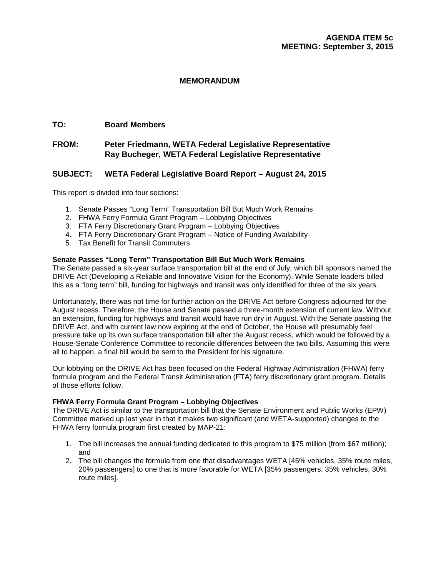#### **MEMORANDUM**

#### **TO: Board Members**

#### **FROM: Peter Friedmann, WETA Federal Legislative Representative Ray Bucheger, WETA Federal Legislative Representative**

#### **SUBJECT: WETA Federal Legislative Board Report – August 24, 2015**

This report is divided into four sections:

- 1. Senate Passes "Long Term" Transportation Bill But Much Work Remains
- 2. FHWA Ferry Formula Grant Program Lobbying Objectives
- 3. FTA Ferry Discretionary Grant Program Lobbying Objectives
- 4. FTA Ferry Discretionary Grant Program Notice of Funding Availability
- 5. Tax Benefit for Transit Commuters

#### **Senate Passes "Long Term" Transportation Bill But Much Work Remains**

The Senate passed a six-year surface transportation bill at the end of July, which bill sponsors named the DRIVE Act (Developing a Reliable and Innovative Vision for the Economy). While Senate leaders billed this as a "long term" bill, funding for highways and transit was only identified for three of the six years.

Unfortunately, there was not time for further action on the DRIVE Act before Congress adjourned for the August recess. Therefore, the House and Senate passed a three-month extension of current law. Without an extension, funding for highways and transit would have run dry in August. With the Senate passing the DRIVE Act, and with current law now expiring at the end of October, the House will presumably feel pressure take up its own surface transportation bill after the August recess, which would be followed by a House-Senate Conference Committee to reconcile differences between the two bills. Assuming this were all to happen, a final bill would be sent to the President for his signature.

Our lobbying on the DRIVE Act has been focused on the Federal Highway Administration (FHWA) ferry formula program and the Federal Transit Administration (FTA) ferry discretionary grant program. Details of those efforts follow.

#### **FHWA Ferry Formula Grant Program – Lobbying Objectives**

The DRIVE Act is similar to the transportation bill that the Senate Environment and Public Works (EPW) Committee marked up last year in that it makes two significant (and WETA-supported) changes to the FHWA ferry formula program first created by MAP-21:

- 1. The bill increases the annual funding dedicated to this program to \$75 million (from \$67 million); and
- 2. The bill changes the formula from one that disadvantages WETA [45% vehicles, 35% route miles, 20% passengers] to one that is more favorable for WETA [35% passengers, 35% vehicles, 30% route miles].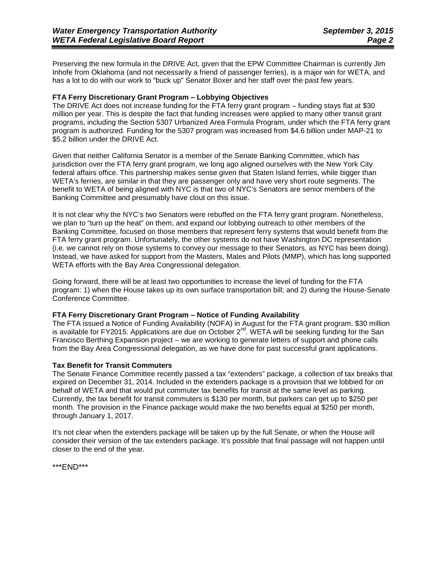Preserving the new formula in the DRIVE Act, given that the EPW Committee Chairman is currently Jim Inhofe from Oklahoma (and not necessarily a friend of passenger ferries), is a major win for WETA, and has a lot to do with our work to "buck up" Senator Boxer and her staff over the past few years.

#### **FTA Ferry Discretionary Grant Program – Lobbying Objectives**

The DRIVE Act does not increase funding for the FTA ferry grant program – funding stays flat at \$30 million per year. This is despite the fact that funding increases were applied to many other transit grant programs, including the Section 5307 Urbanized Area Formula Program, under which the FTA ferry grant program is authorized. Funding for the 5307 program was increased from \$4.6 billion under MAP-21 to \$5.2 billion under the DRIVE Act.

Given that neither California Senator is a member of the Senate Banking Committee, which has jurisdiction over the FTA ferry grant program, we long ago aligned ourselves with the New York City federal affairs office. This partnership makes sense given that Staten Island ferries, while bigger than WETA's ferries, are similar in that they are passenger only and have very short route segments. The benefit to WETA of being aligned with NYC is that two of NYC's Senators are senior members of the Banking Committee and presumably have clout on this issue.

It is not clear why the NYC's two Senators were rebuffed on the FTA ferry grant program. Nonetheless, we plan to "turn up the heat" on them, and expand our lobbying outreach to other members of the Banking Committee, focused on those members that represent ferry systems that would benefit from the FTA ferry grant program. Unfortunately, the other systems do not have Washington DC representation (i.e. we cannot rely on those systems to convey our message to their Senators, as NYC has been doing). Instead, we have asked for support from the Masters, Mates and Pilots (MMP), which has long supported WETA efforts with the Bay Area Congressional delegation.

Going forward, there will be at least two opportunities to increase the level of funding for the FTA program: 1) when the House takes up its own surface transportation bill; and 2) during the House-Senate Conference Committee.

#### **FTA Ferry Discretionary Grant Program – Notice of Funding Availability**

The FTA issued a Notice of Funding Availability (NOFA) in August for the FTA grant program. \$30 million is available for FY2015. Applications are due on October  $2^{nd}$ . WETA will be seeking funding for the San Francisco Berthing Expansion project – we are working to generate letters of support and phone calls from the Bay Area Congressional delegation, as we have done for past successful grant applications.

#### **Tax Benefit for Transit Commuters**

The Senate Finance Committee recently passed a tax "extenders" package, a collection of tax breaks that expired on December 31, 2014. Included in the extenders package is a provision that we lobbied for on behalf of WETA and that would put commuter tax benefits for transit at the same level as parking. Currently, the tax benefit for transit commuters is \$130 per month, but parkers can get up to \$250 per month. The provision in the Finance package would make the two benefits equal at \$250 per month, through January 1, 2017.

It's not clear when the extenders package will be taken up by the full Senate, or when the House will consider their version of the tax extenders package. It's possible that final passage will not happen until closer to the end of the year.

\*\*\*END\*\*\*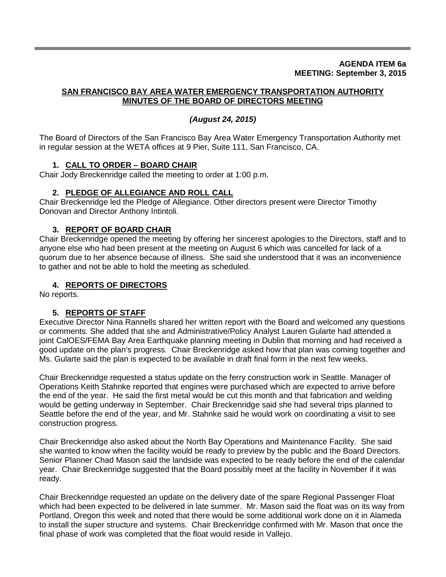#### **AGENDA ITEM 6a MEETING: September 3, 2015**

#### **SAN FRANCISCO BAY AREA WATER EMERGENCY TRANSPORTATION AUTHORITY MINUTES OF THE BOARD OF DIRECTORS MEETING**

# *(August 24, 2015)*

The Board of Directors of the San Francisco Bay Area Water Emergency Transportation Authority met in regular session at the WETA offices at 9 Pier, Suite 111, San Francisco, CA.

# **1. CALL TO ORDER – BOARD CHAIR**

Chair Jody Breckenridge called the meeting to order at 1:00 p.m.

# **2. PLEDGE OF ALLEGIANCE AND ROLL CALL**

Chair Breckenridge led the Pledge of Allegiance. Other directors present were Director Timothy Donovan and Director Anthony Intintoli.

# **3. REPORT OF BOARD CHAIR**

Chair Breckenridge opened the meeting by offering her sincerest apologies to the Directors, staff and to anyone else who had been present at the meeting on August 6 which was cancelled for lack of a quorum due to her absence because of illness. She said she understood that it was an inconvenience to gather and not be able to hold the meeting as scheduled.

# **4. REPORTS OF DIRECTORS**

No reports.

# **5. REPORTS OF STAFF**

Executive Director Nina Rannells shared her written report with the Board and welcomed any questions or comments. She added that she and Administrative/Policy Analyst Lauren Gularte had attended a joint CalOES/FEMA Bay Area Earthquake planning meeting in Dublin that morning and had received a good update on the plan's progress. Chair Breckenridge asked how that plan was coming together and Ms. Gularte said the plan is expected to be available in draft final form in the next few weeks.

Chair Breckenridge requested a status update on the ferry construction work in Seattle. Manager of Operations Keith Stahnke reported that engines were purchased which are expected to arrive before the end of the year. He said the first metal would be cut this month and that fabrication and welding would be getting underway in September. Chair Breckenridge said she had several trips planned to Seattle before the end of the year, and Mr. Stahnke said he would work on coordinating a visit to see construction progress.

Chair Breckenridge also asked about the North Bay Operations and Maintenance Facility. She said she wanted to know when the facility would be ready to preview by the public and the Board Directors. Senior Planner Chad Mason said the landside was expected to be ready before the end of the calendar year. Chair Breckenridge suggested that the Board possibly meet at the facility in November if it was ready.

Chair Breckenridge requested an update on the delivery date of the spare Regional Passenger Float which had been expected to be delivered in late summer. Mr. Mason said the float was on its way from Portland, Oregon this week and noted that there would be some additional work done on it in Alameda to install the super structure and systems. Chair Breckenridge confirmed with Mr. Mason that once the final phase of work was completed that the float would reside in Vallejo.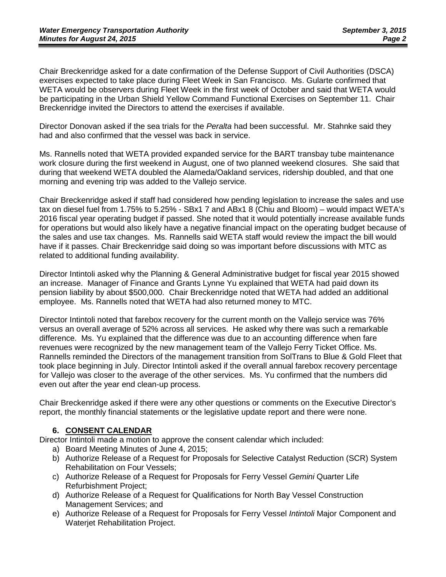Chair Breckenridge asked for a date confirmation of the Defense Support of Civil Authorities (DSCA) exercises expected to take place during Fleet Week in San Francisco. Ms. Gularte confirmed that WETA would be observers during Fleet Week in the first week of October and said that WETA would be participating in the Urban Shield Yellow Command Functional Exercises on September 11. Chair Breckenridge invited the Directors to attend the exercises if available.

Director Donovan asked if the sea trials for the *Peralta* had been successful. Mr. Stahnke said they had and also confirmed that the vessel was back in service.

Ms. Rannells noted that WETA provided expanded service for the BART transbay tube maintenance work closure during the first weekend in August, one of two planned weekend closures. She said that during that weekend WETA doubled the Alameda/Oakland services, ridership doubled, and that one morning and evening trip was added to the Vallejo service.

Chair Breckenridge asked if staff had considered how pending legislation to increase the sales and use tax on diesel fuel from 1.75% to 5.25% - SBx1 7 and ABx1 8 (Chiu and Bloom) – would impact WETA's 2016 fiscal year operating budget if passed. She noted that it would potentially increase available funds for operations but would also likely have a negative financial impact on the operating budget because of the sales and use tax changes. Ms. Rannells said WETA staff would review the impact the bill would have if it passes. Chair Breckenridge said doing so was important before discussions with MTC as related to additional funding availability.

Director Intintoli asked why the Planning & General Administrative budget for fiscal year 2015 showed an increase. Manager of Finance and Grants Lynne Yu explained that WETA had paid down its pension liability by about \$500,000. Chair Breckenridge noted that WETA had added an additional employee. Ms. Rannells noted that WETA had also returned money to MTC.

Director Intintoli noted that farebox recovery for the current month on the Vallejo service was 76% versus an overall average of 52% across all services. He asked why there was such a remarkable difference. Ms. Yu explained that the difference was due to an accounting difference when fare revenues were recognized by the new management team of the Vallejo Ferry Ticket Office. Ms. Rannells reminded the Directors of the management transition from SolTrans to Blue & Gold Fleet that took place beginning in July. Director Intintoli asked if the overall annual farebox recovery percentage for Vallejo was closer to the average of the other services. Ms. Yu confirmed that the numbers did even out after the year end clean-up process.

Chair Breckenridge asked if there were any other questions or comments on the Executive Director's report, the monthly financial statements or the legislative update report and there were none.

# **6. CONSENT CALENDAR**

Director Intintoli made a motion to approve the consent calendar which included:

- a) Board Meeting Minutes of June 4, 2015;
- b) Authorize Release of a Request for Proposals for Selective Catalyst Reduction (SCR) System Rehabilitation on Four Vessels;
- c) Authorize Release of a Request for Proposals for Ferry Vessel *Gemini* Quarter Life Refurbishment Project;
- d) Authorize Release of a Request for Qualifications for North Bay Vessel Construction Management Services; and
- e) Authorize Release of a Request for Proposals for Ferry Vessel *Intintoli* Major Component and Waterjet Rehabilitation Project.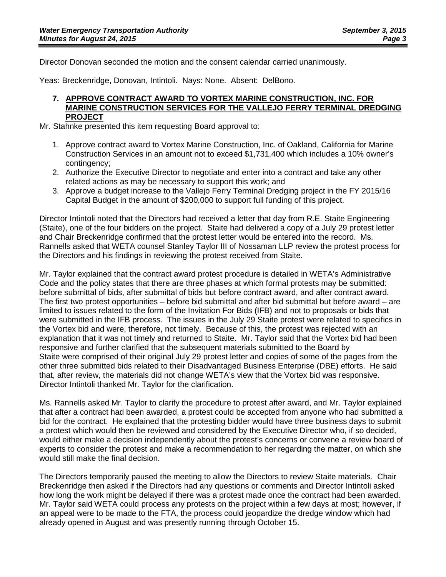Director Donovan seconded the motion and the consent calendar carried unanimously.

Yeas: Breckenridge, Donovan, Intintoli. Nays: None. Absent: DelBono.

#### **7. APPROVE CONTRACT AWARD TO VORTEX MARINE CONSTRUCTION, INC. FOR MARINE CONSTRUCTION SERVICES FOR THE VALLEJO FERRY TERMINAL DREDGING PROJECT**

Mr. Stahnke presented this item requesting Board approval to:

- 1. Approve contract award to Vortex Marine Construction, Inc. of Oakland, California for Marine Construction Services in an amount not to exceed \$1,731,400 which includes a 10% owner's contingency;
- 2. Authorize the Executive Director to negotiate and enter into a contract and take any other related actions as may be necessary to support this work; and
- 3. Approve a budget increase to the Vallejo Ferry Terminal Dredging project in the FY 2015/16 Capital Budget in the amount of \$200,000 to support full funding of this project.

Director Intintoli noted that the Directors had received a letter that day from R.E. Staite Engineering (Staite), one of the four bidders on the project. Staite had delivered a copy of a July 29 protest letter and Chair Breckenridge confirmed that the protest letter would be entered into the record. Ms. Rannells asked that WETA counsel Stanley Taylor III of Nossaman LLP review the protest process for the Directors and his findings in reviewing the protest received from Staite.

Mr. Taylor explained that the contract award protest procedure is detailed in WETA's Administrative Code and the policy states that there are three phases at which formal protests may be submitted: before submittal of bids, after submittal of bids but before contract award, and after contract award. The first two protest opportunities – before bid submittal and after bid submittal but before award – are limited to issues related to the form of the Invitation For Bids (IFB) and not to proposals or bids that were submitted in the IFB process. The issues in the July 29 Staite protest were related to specifics in the Vortex bid and were, therefore, not timely. Because of this, the protest was rejected with an explanation that it was not timely and returned to Staite. Mr. Taylor said that the Vortex bid had been responsive and further clarified that the subsequent materials submitted to the Board by Staite were comprised of their original July 29 protest letter and copies of some of the pages from the other three submitted bids related to their Disadvantaged Business Enterprise (DBE) efforts. He said that, after review, the materials did not change WETA's view that the Vortex bid was responsive. Director Intintoli thanked Mr. Taylor for the clarification.

Ms. Rannells asked Mr. Taylor to clarify the procedure to protest after award, and Mr. Taylor explained that after a contract had been awarded, a protest could be accepted from anyone who had submitted a bid for the contract. He explained that the protesting bidder would have three business days to submit a protest which would then be reviewed and considered by the Executive Director who, if so decided, would either make a decision independently about the protest's concerns or convene a review board of experts to consider the protest and make a recommendation to her regarding the matter, on which she would still make the final decision.

The Directors temporarily paused the meeting to allow the Directors to review Staite materials. Chair Breckenridge then asked if the Directors had any questions or comments and Director Intintoli asked how long the work might be delayed if there was a protest made once the contract had been awarded. Mr. Taylor said WETA could process any protests on the project within a few days at most; however, if an appeal were to be made to the FTA, the process could jeopardize the dredge window which had already opened in August and was presently running through October 15.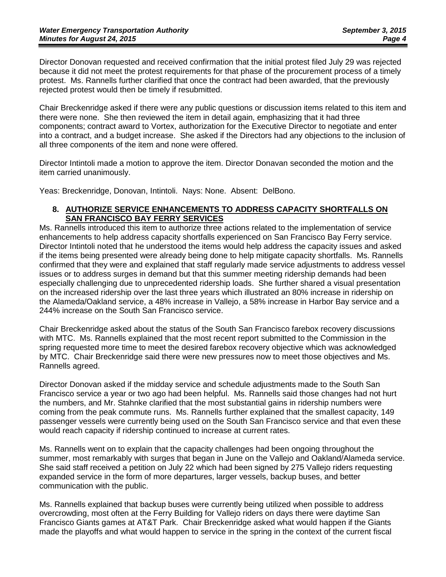Director Donovan requested and received confirmation that the initial protest filed July 29 was rejected because it did not meet the protest requirements for that phase of the procurement process of a timely protest. Ms. Rannells further clarified that once the contract had been awarded, that the previously rejected protest would then be timely if resubmitted.

Chair Breckenridge asked if there were any public questions or discussion items related to this item and there were none. She then reviewed the item in detail again, emphasizing that it had three components; contract award to Vortex, authorization for the Executive Director to negotiate and enter into a contract, and a budget increase. She asked if the Directors had any objections to the inclusion of all three components of the item and none were offered.

Director Intintoli made a motion to approve the item. Director Donavan seconded the motion and the item carried unanimously.

Yeas: Breckenridge, Donovan, Intintoli. Nays: None. Absent: DelBono.

# **8. AUTHORIZE SERVICE ENHANCEMENTS TO ADDRESS CAPACITY SHORTFALLS ON SAN FRANCISCO BAY FERRY SERVICES**

Ms. Rannells introduced this item to authorize three actions related to the implementation of service enhancements to help address capacity shortfalls experienced on San Francisco Bay Ferry service. Director Intintoli noted that he understood the items would help address the capacity issues and asked if the items being presented were already being done to help mitigate capacity shortfalls. Ms. Rannells confirmed that they were and explained that staff regularly made service adjustments to address vessel issues or to address surges in demand but that this summer meeting ridership demands had been especially challenging due to unprecedented ridership loads. She further shared a visual presentation on the increased ridership over the last three years which illustrated an 80% increase in ridership on the Alameda/Oakland service, a 48% increase in Vallejo, a 58% increase in Harbor Bay service and a 244% increase on the South San Francisco service.

Chair Breckenridge asked about the status of the South San Francisco farebox recovery discussions with MTC. Ms. Rannells explained that the most recent report submitted to the Commission in the spring requested more time to meet the desired farebox recovery objective which was acknowledged by MTC. Chair Breckenridge said there were new pressures now to meet those objectives and Ms. Rannells agreed.

Director Donovan asked if the midday service and schedule adjustments made to the South San Francisco service a year or two ago had been helpful. Ms. Rannells said those changes had not hurt the numbers, and Mr. Stahnke clarified that the most substantial gains in ridership numbers were coming from the peak commute runs. Ms. Rannells further explained that the smallest capacity, 149 passenger vessels were currently being used on the South San Francisco service and that even these would reach capacity if ridership continued to increase at current rates.

Ms. Rannells went on to explain that the capacity challenges had been ongoing throughout the summer, most remarkably with surges that began in June on the Vallejo and Oakland/Alameda service. She said staff received a petition on July 22 which had been signed by 275 Vallejo riders requesting expanded service in the form of more departures, larger vessels, backup buses, and better communication with the public.

Ms. Rannells explained that backup buses were currently being utilized when possible to address overcrowding, most often at the Ferry Building for Vallejo riders on days there were daytime San Francisco Giants games at AT&T Park. Chair Breckenridge asked what would happen if the Giants made the playoffs and what would happen to service in the spring in the context of the current fiscal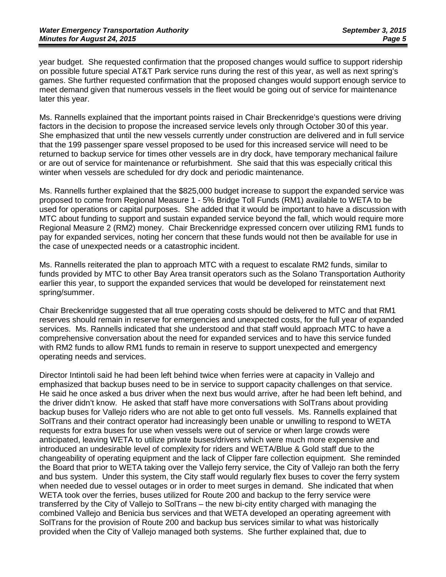year budget. She requested confirmation that the proposed changes would suffice to support ridership on possible future special AT&T Park service runs during the rest of this year, as well as next spring's games. She further requested confirmation that the proposed changes would support enough service to meet demand given that numerous vessels in the fleet would be going out of service for maintenance later this year.

Ms. Rannells explained that the important points raised in Chair Breckenridge's questions were driving factors in the decision to propose the increased service levels only through October 30 of this year. She emphasized that until the new vessels currently under construction are delivered and in full service that the 199 passenger spare vessel proposed to be used for this increased service will need to be returned to backup service for times other vessels are in dry dock, have temporary mechanical failure or are out of service for maintenance or refurbishment. She said that this was especially critical this winter when vessels are scheduled for dry dock and periodic maintenance.

Ms. Rannells further explained that the \$825,000 budget increase to support the expanded service was proposed to come from Regional Measure 1 - 5% Bridge Toll Funds (RM1) available to WETA to be used for operations or capital purposes. She added that it would be important to have a discussion with MTC about funding to support and sustain expanded service beyond the fall, which would require more Regional Measure 2 (RM2) money. Chair Breckenridge expressed concern over utilizing RM1 funds to pay for expanded services, noting her concern that these funds would not then be available for use in the case of unexpected needs or a catastrophic incident.

Ms. Rannells reiterated the plan to approach MTC with a request to escalate RM2 funds, similar to funds provided by MTC to other Bay Area transit operators such as the Solano Transportation Authority earlier this year, to support the expanded services that would be developed for reinstatement next spring/summer.

Chair Breckenridge suggested that all true operating costs should be delivered to MTC and that RM1 reserves should remain in reserve for emergencies and unexpected costs, for the full year of expanded services. Ms. Rannells indicated that she understood and that staff would approach MTC to have a comprehensive conversation about the need for expanded services and to have this service funded with RM2 funds to allow RM1 funds to remain in reserve to support unexpected and emergency operating needs and services.

Director Intintoli said he had been left behind twice when ferries were at capacity in Vallejo and emphasized that backup buses need to be in service to support capacity challenges on that service. He said he once asked a bus driver when the next bus would arrive, after he had been left behind, and the driver didn't know. He asked that staff have more conversations with SolTrans about providing backup buses for Vallejo riders who are not able to get onto full vessels. Ms. Rannells explained that SolTrans and their contract operator had increasingly been unable or unwilling to respond to WETA requests for extra buses for use when vessels were out of service or when large crowds were anticipated, leaving WETA to utilize private buses/drivers which were much more expensive and introduced an undesirable level of complexity for riders and WETA/Blue & Gold staff due to the changeability of operating equipment and the lack of Clipper fare collection equipment. She reminded the Board that prior to WETA taking over the Vallejo ferry service, the City of Vallejo ran both the ferry and bus system. Under this system, the City staff would regularly flex buses to cover the ferry system when needed due to vessel outages or in order to meet surges in demand. She indicated that when WETA took over the ferries, buses utilized for Route 200 and backup to the ferry service were transferred by the City of Vallejo to SolTrans – the new bi-city entity charged with managing the combined Vallejo and Benicia bus services and that WETA developed an operating agreement with SolTrans for the provision of Route 200 and backup bus services similar to what was historically provided when the City of Vallejo managed both systems. She further explained that, due to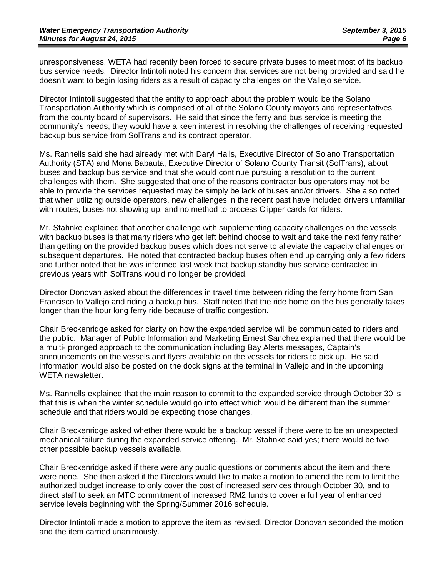unresponsiveness, WETA had recently been forced to secure private buses to meet most of its backup bus service needs. Director Intintoli noted his concern that services are not being provided and said he doesn't want to begin losing riders as a result of capacity challenges on the Vallejo service.

Director Intintoli suggested that the entity to approach about the problem would be the Solano Transportation Authority which is comprised of all of the Solano County mayors and representatives from the county board of supervisors. He said that since the ferry and bus service is meeting the community's needs, they would have a keen interest in resolving the challenges of receiving requested backup bus service from SolTrans and its contract operator.

Ms. Rannells said she had already met with Daryl Halls, Executive Director of Solano Transportation Authority (STA) and Mona Babauta, Executive Director of Solano County Transit (SolTrans), about buses and backup bus service and that she would continue pursuing a resolution to the current challenges with them. She suggested that one of the reasons contractor bus operators may not be able to provide the services requested may be simply be lack of buses and/or drivers. She also noted that when utilizing outside operators, new challenges in the recent past have included drivers unfamiliar with routes, buses not showing up, and no method to process Clipper cards for riders.

Mr. Stahnke explained that another challenge with supplementing capacity challenges on the vessels with backup buses is that many riders who get left behind choose to wait and take the next ferry rather than getting on the provided backup buses which does not serve to alleviate the capacity challenges on subsequent departures. He noted that contracted backup buses often end up carrying only a few riders and further noted that he was informed last week that backup standby bus service contracted in previous years with SolTrans would no longer be provided.

Director Donovan asked about the differences in travel time between riding the ferry home from San Francisco to Vallejo and riding a backup bus. Staff noted that the ride home on the bus generally takes longer than the hour long ferry ride because of traffic congestion.

Chair Breckenridge asked for clarity on how the expanded service will be communicated to riders and the public. Manager of Public Information and Marketing Ernest Sanchez explained that there would be a multi- pronged approach to the communication including Bay Alerts messages, Captain's announcements on the vessels and flyers available on the vessels for riders to pick up. He said information would also be posted on the dock signs at the terminal in Vallejo and in the upcoming WETA newsletter.

Ms. Rannells explained that the main reason to commit to the expanded service through October 30 is that this is when the winter schedule would go into effect which would be different than the summer schedule and that riders would be expecting those changes.

Chair Breckenridge asked whether there would be a backup vessel if there were to be an unexpected mechanical failure during the expanded service offering. Mr. Stahnke said yes; there would be two other possible backup vessels available.

Chair Breckenridge asked if there were any public questions or comments about the item and there were none. She then asked if the Directors would like to make a motion to amend the item to limit the authorized budget increase to only cover the cost of increased services through October 30, and to direct staff to seek an MTC commitment of increased RM2 funds to cover a full year of enhanced service levels beginning with the Spring/Summer 2016 schedule.

Director Intintoli made a motion to approve the item as revised. Director Donovan seconded the motion and the item carried unanimously.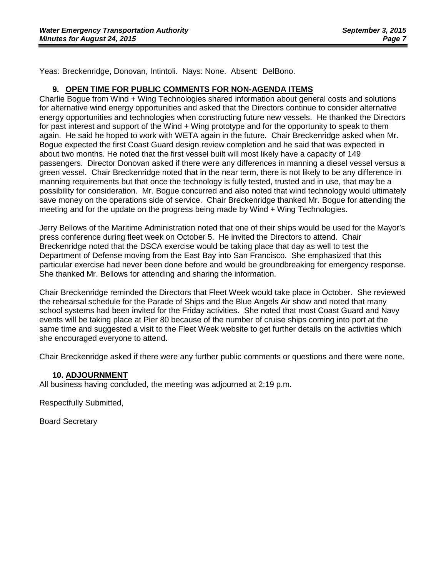Yeas: Breckenridge, Donovan, Intintoli. Nays: None. Absent: DelBono.

#### **9. OPEN TIME FOR PUBLIC COMMENTS FOR NON-AGENDA ITEMS**

Charlie Bogue from Wind + Wing Technologies shared information about general costs and solutions for alternative wind energy opportunities and asked that the Directors continue to consider alternative energy opportunities and technologies when constructing future new vessels. He thanked the Directors for past interest and support of the Wind + Wing prototype and for the opportunity to speak to them again. He said he hoped to work with WETA again in the future. Chair Breckenridge asked when Mr. Bogue expected the first Coast Guard design review completion and he said that was expected in about two months. He noted that the first vessel built will most likely have a capacity of 149 passengers. Director Donovan asked if there were any differences in manning a diesel vessel versus a green vessel. Chair Breckenridge noted that in the near term, there is not likely to be any difference in manning requirements but that once the technology is fully tested, trusted and in use, that may be a possibility for consideration. Mr. Bogue concurred and also noted that wind technology would ultimately save money on the operations side of service. Chair Breckenridge thanked Mr. Bogue for attending the meeting and for the update on the progress being made by Wind + Wing Technologies.

Jerry Bellows of the Maritime Administration noted that one of their ships would be used for the Mayor's press conference during fleet week on October 5. He invited the Directors to attend. Chair Breckenridge noted that the DSCA exercise would be taking place that day as well to test the Department of Defense moving from the East Bay into San Francisco. She emphasized that this particular exercise had never been done before and would be groundbreaking for emergency response. She thanked Mr. Bellows for attending and sharing the information.

Chair Breckenridge reminded the Directors that Fleet Week would take place in October. She reviewed the rehearsal schedule for the Parade of Ships and the Blue Angels Air show and noted that many school systems had been invited for the Friday activities. She noted that most Coast Guard and Navy events will be taking place at Pier 80 because of the number of cruise ships coming into port at the same time and suggested a visit to the Fleet Week website to get further details on the activities which she encouraged everyone to attend.

Chair Breckenridge asked if there were any further public comments or questions and there were none.

#### **10. ADJOURNMENT**

All business having concluded, the meeting was adjourned at 2:19 p.m.

Respectfully Submitted,

Board Secretary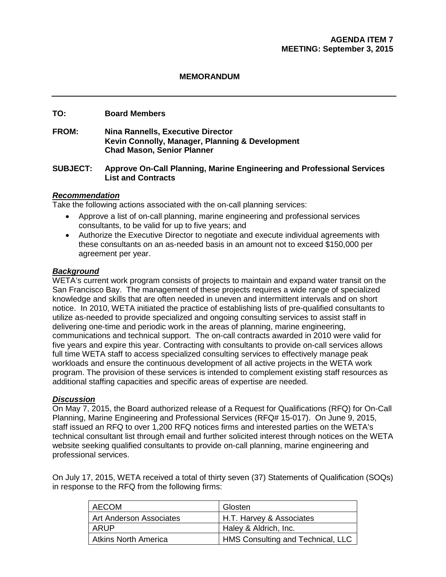# **MEMORANDUM**

#### **TO: Board Members**

**FROM: Nina Rannells, Executive Director Kevin Connolly, Manager, Planning & Development Chad Mason, Senior Planner**

#### **SUBJECT: Approve On-Call Planning, Marine Engineering and Professional Services List and Contracts**

#### *Recommendation*

Take the following actions associated with the on-call planning services:

- Approve a list of on-call planning, marine engineering and professional services consultants, to be valid for up to five years; and
- Authorize the Executive Director to negotiate and execute individual agreements with these consultants on an as-needed basis in an amount not to exceed \$150,000 per agreement per year.

#### *Background*

WETA's current work program consists of projects to maintain and expand water transit on the San Francisco Bay. The management of these projects requires a wide range of specialized knowledge and skills that are often needed in uneven and intermittent intervals and on short notice. In 2010, WETA initiated the practice of establishing lists of pre-qualified consultants to utilize as-needed to provide specialized and ongoing consulting services to assist staff in delivering one-time and periodic work in the areas of planning, marine engineering, communications and technical support. The on-call contracts awarded in 2010 were valid for five years and expire this year. Contracting with consultants to provide on-call services allows full time WETA staff to access specialized consulting services to effectively manage peak workloads and ensure the continuous development of all active projects in the WETA work program. The provision of these services is intended to complement existing staff resources as additional staffing capacities and specific areas of expertise are needed.

#### *Discussion*

On May 7, 2015, the Board authorized release of a Request for Qualifications (RFQ) for On-Call Planning, Marine Engineering and Professional Services (RFQ# 15-017). On June 9, 2015, staff issued an RFQ to over 1,200 RFQ notices firms and interested parties on the WETA's technical consultant list through email and further solicited interest through notices on the WETA website seeking qualified consultants to provide on-call planning, marine engineering and professional services.

On July 17, 2015, WETA received a total of thirty seven (37) Statements of Qualification (SOQs) in response to the RFQ from the following firms:

| AECOM                       | Glosten                           |
|-----------------------------|-----------------------------------|
| Art Anderson Associates     | H.T. Harvey & Associates          |
| ARUP                        | Haley & Aldrich, Inc.             |
| <b>Atkins North America</b> | HMS Consulting and Technical, LLC |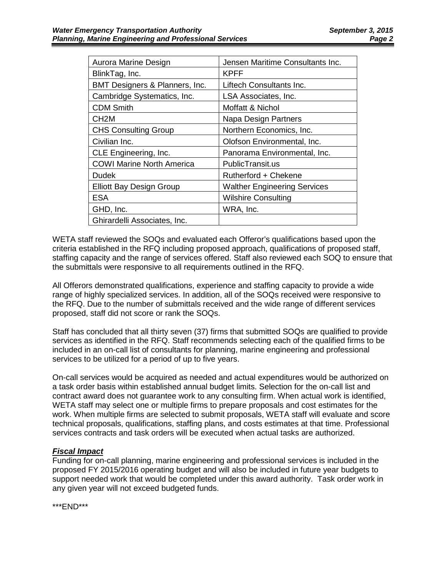| Aurora Marine Design             | Jensen Maritime Consultants Inc.    |
|----------------------------------|-------------------------------------|
| BlinkTag, Inc.                   | <b>KPFF</b>                         |
| BMT Designers & Planners, Inc.   | Liftech Consultants Inc.            |
| Cambridge Systematics, Inc.      | LSA Associates, Inc.                |
| <b>CDM Smith</b>                 | Moffatt & Nichol                    |
| CH <sub>2</sub> M                | Napa Design Partners                |
| <b>CHS Consulting Group</b>      | Northern Economics, Inc.            |
| Civilian Inc.                    | Olofson Environmental, Inc.         |
| CLE Engineering, Inc.            | Panorama Environmental, Inc.        |
| <b>COWI Marine North America</b> | PublicTransit.us                    |
| Dudek                            | Rutherford + Chekene                |
| <b>Elliott Bay Design Group</b>  | <b>Walther Engineering Services</b> |
| <b>ESA</b>                       | <b>Wilshire Consulting</b>          |
| GHD, Inc.                        | WRA, Inc.                           |
| Ghirardelli Associates, Inc.     |                                     |
|                                  |                                     |

WETA staff reviewed the SOQs and evaluated each Offeror's qualifications based upon the criteria established in the RFQ including proposed approach, qualifications of proposed staff, staffing capacity and the range of services offered. Staff also reviewed each SOQ to ensure that the submittals were responsive to all requirements outlined in the RFQ.

All Offerors demonstrated qualifications, experience and staffing capacity to provide a wide range of highly specialized services. In addition, all of the SOQs received were responsive to the RFQ. Due to the number of submittals received and the wide range of different services proposed, staff did not score or rank the SOQs.

Staff has concluded that all thirty seven (37) firms that submitted SOQs are qualified to provide services as identified in the RFQ. Staff recommends selecting each of the qualified firms to be included in an on-call list of consultants for planning, marine engineering and professional services to be utilized for a period of up to five years.

On-call services would be acquired as needed and actual expenditures would be authorized on a task order basis within established annual budget limits. Selection for the on-call list and contract award does not guarantee work to any consulting firm. When actual work is identified, WETA staff may select one or multiple firms to prepare proposals and cost estimates for the work. When multiple firms are selected to submit proposals, WETA staff will evaluate and score technical proposals, qualifications, staffing plans, and costs estimates at that time. Professional services contracts and task orders will be executed when actual tasks are authorized.

#### *Fiscal Impact*

Funding for on-call planning, marine engineering and professional services is included in the proposed FY 2015/2016 operating budget and will also be included in future year budgets to support needed work that would be completed under this award authority. Task order work in any given year will not exceed budgeted funds.

\*\*\*END\*\*\*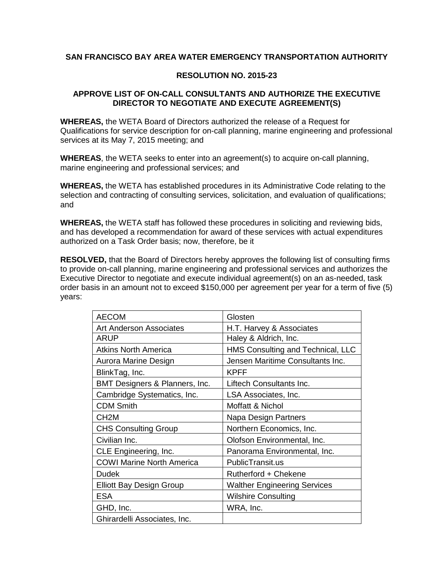# **SAN FRANCISCO BAY AREA WATER EMERGENCY TRANSPORTATION AUTHORITY**

#### **RESOLUTION NO. 2015-23**

#### **APPROVE LIST OF ON-CALL CONSULTANTS AND AUTHORIZE THE EXECUTIVE DIRECTOR TO NEGOTIATE AND EXECUTE AGREEMENT(S)**

**WHEREAS,** the WETA Board of Directors authorized the release of a Request for Qualifications for service description for on-call planning, marine engineering and professional services at its May 7, 2015 meeting; and

**WHEREAS**, the WETA seeks to enter into an agreement(s) to acquire on-call planning, marine engineering and professional services; and

**WHEREAS,** the WETA has established procedures in its Administrative Code relating to the selection and contracting of consulting services, solicitation, and evaluation of qualifications; and

**WHEREAS,** the WETA staff has followed these procedures in soliciting and reviewing bids, and has developed a recommendation for award of these services with actual expenditures authorized on a Task Order basis; now, therefore, be it

**RESOLVED,** that the Board of Directors hereby approves the following list of consulting firms to provide on-call planning, marine engineering and professional services and authorizes the Executive Director to negotiate and execute individual agreement(s) on an as-needed, task order basis in an amount not to exceed \$150,000 per agreement per year for a term of five (5) years:

| <b>AECOM</b>                     | Glosten                             |
|----------------------------------|-------------------------------------|
| Art Anderson Associates          | H.T. Harvey & Associates            |
| ARUP                             | Haley & Aldrich, Inc.               |
| <b>Atkins North America</b>      | HMS Consulting and Technical, LLC   |
| Aurora Marine Design             | Jensen Maritime Consultants Inc.    |
| BlinkTag, Inc.                   | <b>KPFF</b>                         |
| BMT Designers & Planners, Inc.   | Liftech Consultants Inc.            |
| Cambridge Systematics, Inc.      | LSA Associates, Inc.                |
| <b>CDM Smith</b>                 | Moffatt & Nichol                    |
| CH <sub>2</sub> M                | Napa Design Partners                |
| <b>CHS Consulting Group</b>      | Northern Economics, Inc.            |
| Civilian Inc.                    | Olofson Environmental, Inc.         |
| CLE Engineering, Inc.            | Panorama Environmental, Inc.        |
| <b>COWI Marine North America</b> | PublicTransit.us                    |
| <b>Dudek</b>                     | Rutherford + Chekene                |
| <b>Elliott Bay Design Group</b>  | <b>Walther Engineering Services</b> |
| <b>ESA</b>                       | <b>Wilshire Consulting</b>          |
| GHD, Inc.                        | WRA, Inc.                           |
| Ghirardelli Associates, Inc.     |                                     |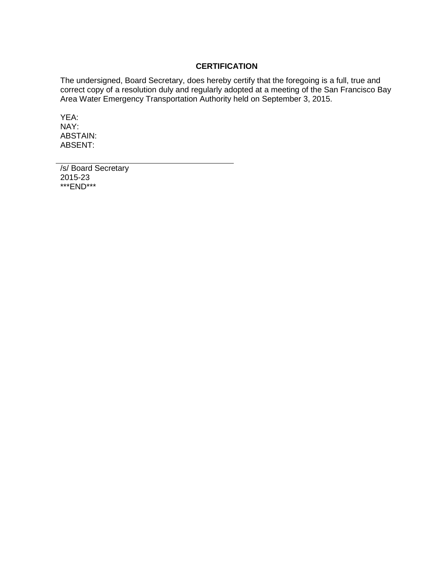#### **CERTIFICATION**

The undersigned, Board Secretary, does hereby certify that the foregoing is a full, true and correct copy of a resolution duly and regularly adopted at a meeting of the San Francisco Bay Area Water Emergency Transportation Authority held on September 3, 2015.

YEA: NAY: ABSTAIN: ABSENT:

/s/ Board Secretary 2015-23 \*\*\*END\*\*\*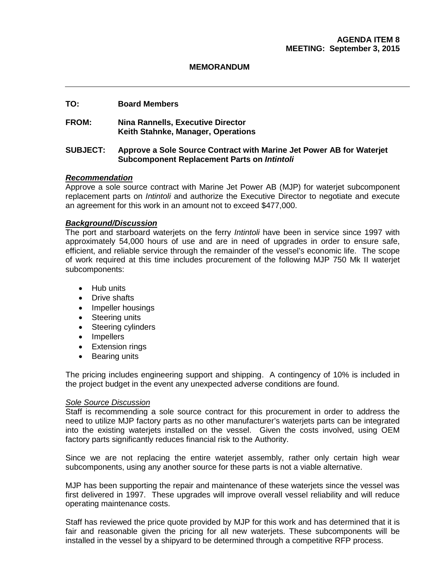#### **MEMORANDUM**

#### **TO: Board Members**

#### **FROM: Nina Rannells, Executive Director Keith Stahnke, Manager, Operations**

#### **SUBJECT: Approve a Sole Source Contract with Marine Jet Power AB for Waterjet Subcomponent Replacement Parts on** *Intintoli*

#### *Recommendation*

Approve a sole source contract with Marine Jet Power AB (MJP) for waterjet subcomponent replacement parts on *Intintoli* and authorize the Executive Director to negotiate and execute an agreement for this work in an amount not to exceed \$477,000.

#### *Background/Discussion*

The port and starboard waterjets on the ferry *Intintoli* have been in service since 1997 with approximately 54,000 hours of use and are in need of upgrades in order to ensure safe, efficient, and reliable service through the remainder of the vessel's economic life. The scope of work required at this time includes procurement of the following MJP 750 Mk II waterjet subcomponents:

- Hub units
- Drive shafts
- Impeller housings
- Steering units
- Steering cylinders
- Impellers
- Extension rings
- Bearing units

The pricing includes engineering support and shipping. A contingency of 10% is included in the project budget in the event any unexpected adverse conditions are found.

#### *Sole Source Discussion*

Staff is recommending a sole source contract for this procurement in order to address the need to utilize MJP factory parts as no other manufacturer's waterjets parts can be integrated into the existing waterjets installed on the vessel. Given the costs involved, using OEM factory parts significantly reduces financial risk to the Authority.

Since we are not replacing the entire waterjet assembly, rather only certain high wear subcomponents, using any another source for these parts is not a viable alternative.

MJP has been supporting the repair and maintenance of these waterjets since the vessel was first delivered in 1997. These upgrades will improve overall vessel reliability and will reduce operating maintenance costs.

Staff has reviewed the price quote provided by MJP for this work and has determined that it is fair and reasonable given the pricing for all new waterjets. These subcomponents will be installed in the vessel by a shipyard to be determined through a competitive RFP process.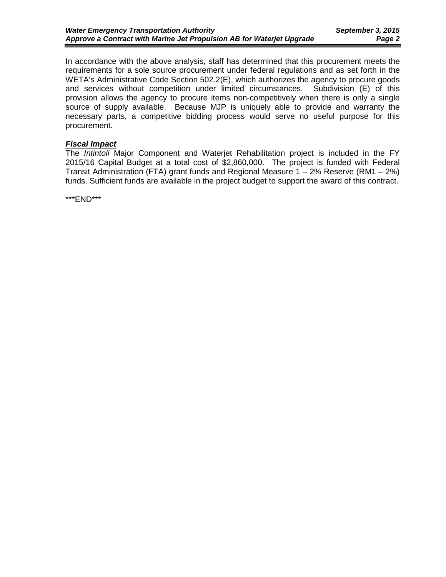In accordance with the above analysis, staff has determined that this procurement meets the requirements for a sole source procurement under federal regulations and as set forth in the WETA's Administrative Code Section 502.2(E), which authorizes the agency to procure goods and services without competition under limited circumstances. Subdivision (E) of this provision allows the agency to procure items non-competitively when there is only a single source of supply available. Because MJP is uniquely able to provide and warranty the necessary parts, a competitive bidding process would serve no useful purpose for this procurement.

#### *Fiscal Impact*

The *Intintoli* Major Component and Waterjet Rehabilitation project is included in the FY 2015/16 Capital Budget at a total cost of \$2,860,000. The project is funded with Federal Transit Administration (FTA) grant funds and Regional Measure 1 – 2% Reserve (RM1 – 2%) funds. Sufficient funds are available in the project budget to support the award of this contract.

\*\*\*END\*\*\*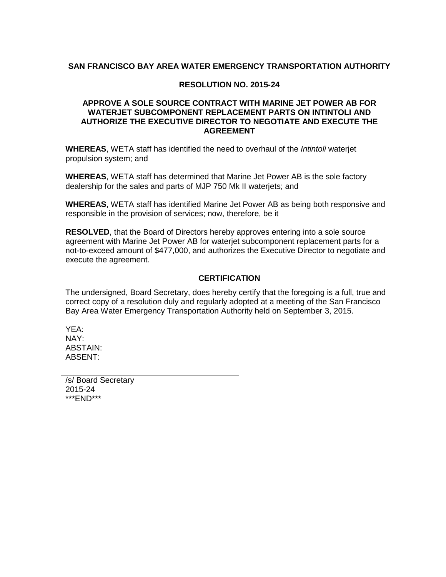#### **SAN FRANCISCO BAY AREA WATER EMERGENCY TRANSPORTATION AUTHORITY**

#### **RESOLUTION NO. 2015-24**

#### **APPROVE A SOLE SOURCE CONTRACT WITH MARINE JET POWER AB FOR WATERJET SUBCOMPONENT REPLACEMENT PARTS ON INTINTOLI AND AUTHORIZE THE EXECUTIVE DIRECTOR TO NEGOTIATE AND EXECUTE THE AGREEMENT**

**WHEREAS**, WETA staff has identified the need to overhaul of the *Intintoli* waterjet propulsion system; and

**WHEREAS**, WETA staff has determined that Marine Jet Power AB is the sole factory dealership for the sales and parts of MJP 750 Mk II waterjets; and

**WHEREAS**, WETA staff has identified Marine Jet Power AB as being both responsive and responsible in the provision of services; now, therefore, be it

**RESOLVED**, that the Board of Directors hereby approves entering into a sole source agreement with Marine Jet Power AB for waterjet subcomponent replacement parts for a not-to-exceed amount of \$477,000, and authorizes the Executive Director to negotiate and execute the agreement.

#### **CERTIFICATION**

The undersigned, Board Secretary, does hereby certify that the foregoing is a full, true and correct copy of a resolution duly and regularly adopted at a meeting of the San Francisco Bay Area Water Emergency Transportation Authority held on September 3, 2015.

YEA: NAY: ABSTAIN: ABSENT:

/s/ Board Secretary 2015-24 \*\*\*END\*\*\*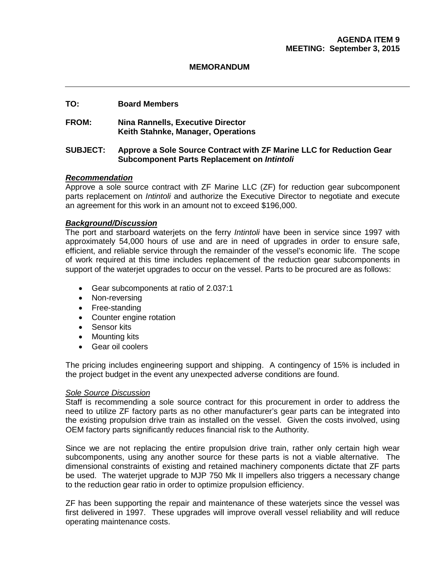#### **MEMORANDUM**

#### **TO: Board Members**

#### **FROM: Nina Rannells, Executive Director Keith Stahnke, Manager, Operations**

#### **SUBJECT: Approve a Sole Source Contract with ZF Marine LLC for Reduction Gear Subcomponent Parts Replacement on** *Intintoli*

#### *Recommendation*

Approve a sole source contract with ZF Marine LLC (ZF) for reduction gear subcomponent parts replacement on *Intintoli* and authorize the Executive Director to negotiate and execute an agreement for this work in an amount not to exceed \$196,000.

#### *Background/Discussion*

The port and starboard waterjets on the ferry *Intintoli* have been in service since 1997 with approximately 54,000 hours of use and are in need of upgrades in order to ensure safe, efficient, and reliable service through the remainder of the vessel's economic life. The scope of work required at this time includes replacement of the reduction gear subcomponents in support of the waterjet upgrades to occur on the vessel. Parts to be procured are as follows:

- Gear subcomponents at ratio of 2.037:1
- Non-reversing
- Free-standing
- Counter engine rotation
- Sensor kits
- Mounting kits
- Gear oil coolers

The pricing includes engineering support and shipping. A contingency of 15% is included in the project budget in the event any unexpected adverse conditions are found.

#### *Sole Source Discussion*

Staff is recommending a sole source contract for this procurement in order to address the need to utilize ZF factory parts as no other manufacturer's gear parts can be integrated into the existing propulsion drive train as installed on the vessel. Given the costs involved, using OEM factory parts significantly reduces financial risk to the Authority.

Since we are not replacing the entire propulsion drive train, rather only certain high wear subcomponents, using any another source for these parts is not a viable alternative. The dimensional constraints of existing and retained machinery components dictate that ZF parts be used. The waterjet upgrade to MJP 750 Mk II impellers also triggers a necessary change to the reduction gear ratio in order to optimize propulsion efficiency.

ZF has been supporting the repair and maintenance of these waterjets since the vessel was first delivered in 1997. These upgrades will improve overall vessel reliability and will reduce operating maintenance costs.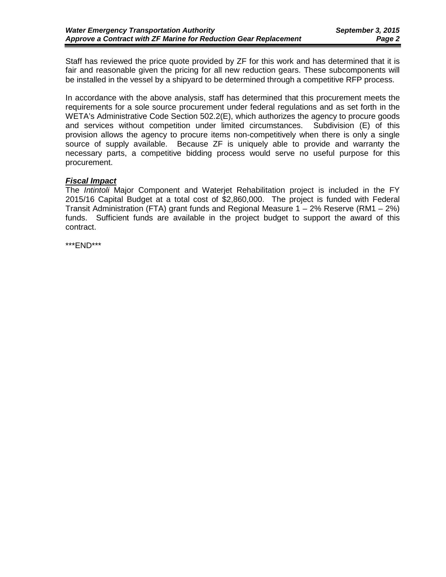Staff has reviewed the price quote provided by ZF for this work and has determined that it is fair and reasonable given the pricing for all new reduction gears. These subcomponents will be installed in the vessel by a shipyard to be determined through a competitive RFP process.

In accordance with the above analysis, staff has determined that this procurement meets the requirements for a sole source procurement under federal regulations and as set forth in the WETA's Administrative Code Section 502.2(E), which authorizes the agency to procure goods and services without competition under limited circumstances. Subdivision (E) of this provision allows the agency to procure items non-competitively when there is only a single source of supply available. Because ZF is uniquely able to provide and warranty the necessary parts, a competitive bidding process would serve no useful purpose for this procurement.

#### *Fiscal Impact*

The *Intintoli* Major Component and Waterjet Rehabilitation project is included in the FY 2015/16 Capital Budget at a total cost of \$2,860,000. The project is funded with Federal Transit Administration (FTA) grant funds and Regional Measure 1 – 2% Reserve (RM1 – 2%) funds. Sufficient funds are available in the project budget to support the award of this contract.

\*\*\*END\*\*\*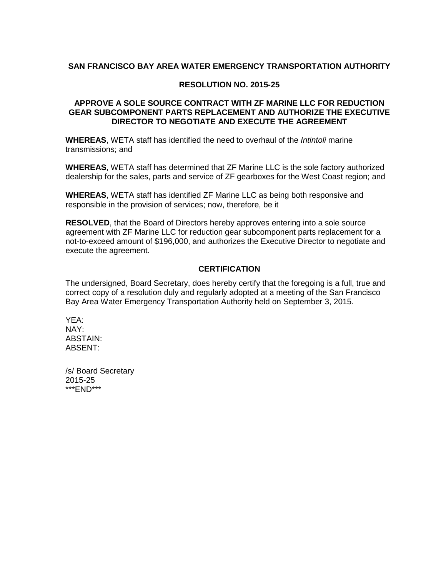#### **SAN FRANCISCO BAY AREA WATER EMERGENCY TRANSPORTATION AUTHORITY**

#### **RESOLUTION NO. 2015-25**

#### **APPROVE A SOLE SOURCE CONTRACT WITH ZF MARINE LLC FOR REDUCTION GEAR SUBCOMPONENT PARTS REPLACEMENT AND AUTHORIZE THE EXECUTIVE DIRECTOR TO NEGOTIATE AND EXECUTE THE AGREEMENT**

**WHEREAS**, WETA staff has identified the need to overhaul of the *Intintoli* marine transmissions; and

**WHEREAS**, WETA staff has determined that ZF Marine LLC is the sole factory authorized dealership for the sales, parts and service of ZF gearboxes for the West Coast region; and

**WHEREAS**, WETA staff has identified ZF Marine LLC as being both responsive and responsible in the provision of services; now, therefore, be it

**RESOLVED**, that the Board of Directors hereby approves entering into a sole source agreement with ZF Marine LLC for reduction gear subcomponent parts replacement for a not-to-exceed amount of \$196,000, and authorizes the Executive Director to negotiate and execute the agreement.

#### **CERTIFICATION**

The undersigned, Board Secretary, does hereby certify that the foregoing is a full, true and correct copy of a resolution duly and regularly adopted at a meeting of the San Francisco Bay Area Water Emergency Transportation Authority held on September 3, 2015.

YEA: NAY: ABSTAIN: ABSENT:

/s/ Board Secretary 2015-25 \*\*\*END\*\*\*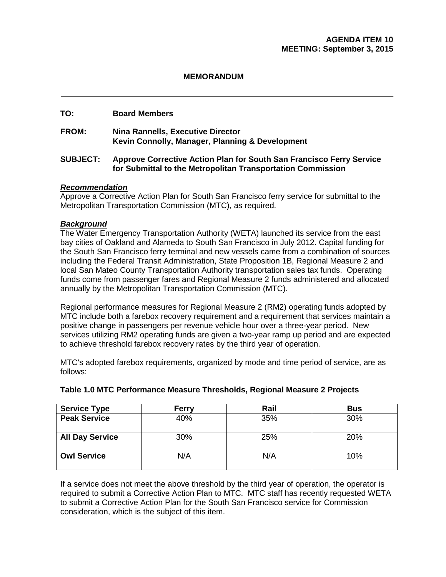#### **MEMORANDUM**

#### **TO: Board Members**

**FROM: Nina Rannells, Executive Director Kevin Connolly, Manager, Planning & Development** 

#### **SUBJECT: Approve Corrective Action Plan for South San Francisco Ferry Service for Submittal to the Metropolitan Transportation Commission**

#### *Recommendation*

Approve a Corrective Action Plan for South San Francisco ferry service for submittal to the Metropolitan Transportation Commission (MTC), as required.

#### *Background*

The Water Emergency Transportation Authority (WETA) launched its service from the east bay cities of Oakland and Alameda to South San Francisco in July 2012. Capital funding for the South San Francisco ferry terminal and new vessels came from a combination of sources including the Federal Transit Administration, State Proposition 1B, Regional Measure 2 and local San Mateo County Transportation Authority transportation sales tax funds. Operating funds come from passenger fares and Regional Measure 2 funds administered and allocated annually by the Metropolitan Transportation Commission (MTC).

Regional performance measures for Regional Measure 2 (RM2) operating funds adopted by MTC include both a farebox recovery requirement and a requirement that services maintain a positive change in passengers per revenue vehicle hour over a three-year period. New services utilizing RM2 operating funds are given a two-year ramp up period and are expected to achieve threshold farebox recovery rates by the third year of operation.

MTC's adopted farebox requirements, organized by mode and time period of service, are as follows:

| <b>Service Type</b>    | Ferry | Rail | <b>Bus</b> |
|------------------------|-------|------|------------|
| <b>Peak Service</b>    | 40%   | 35%  | 30%        |
| <b>All Day Service</b> | 30%   | 25%  | 20%        |
| <b>Owl Service</b>     | N/A   | N/A  | 10%        |

#### **Table 1.0 MTC Performance Measure Thresholds, Regional Measure 2 Projects**

If a service does not meet the above threshold by the third year of operation, the operator is required to submit a Corrective Action Plan to MTC. MTC staff has recently requested WETA to submit a Corrective Action Plan for the South San Francisco service for Commission consideration, which is the subject of this item.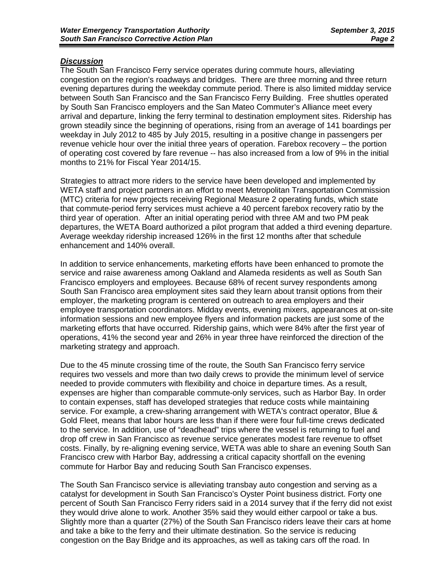#### *Discussion*

The South San Francisco Ferry service operates during commute hours, alleviating congestion on the region's roadways and bridges. There are three morning and three return evening departures during the weekday commute period. There is also limited midday service between South San Francisco and the San Francisco Ferry Building. Free shuttles operated by South San Francisco employers and the San Mateo Commuter's Alliance meet every arrival and departure, linking the ferry terminal to destination employment sites. Ridership has grown steadily since the beginning of operations, rising from an average of 141 boardings per weekday in July 2012 to 485 by July 2015, resulting in a positive change in passengers per revenue vehicle hour over the initial three years of operation. Farebox recovery – the portion of operating cost covered by fare revenue -- has also increased from a low of 9% in the initial months to 21% for Fiscal Year 2014/15.

Strategies to attract more riders to the service have been developed and implemented by WETA staff and project partners in an effort to meet Metropolitan Transportation Commission (MTC) criteria for new projects receiving Regional Measure 2 operating funds, which state that commute-period ferry services must achieve a 40 percent farebox recovery ratio by the third year of operation. After an initial operating period with three AM and two PM peak departures, the WETA Board authorized a pilot program that added a third evening departure. Average weekday ridership increased 126% in the first 12 months after that schedule enhancement and 140% overall.

In addition to service enhancements, marketing efforts have been enhanced to promote the service and raise awareness among Oakland and Alameda residents as well as South San Francisco employers and employees. Because 68% of recent survey respondents among South San Francisco area employment sites said they learn about transit options from their employer, the marketing program is centered on outreach to area employers and their employee transportation coordinators. Midday events, evening mixers, appearances at on-site information sessions and new employee flyers and information packets are just some of the marketing efforts that have occurred. Ridership gains, which were 84% after the first year of operations, 41% the second year and 26% in year three have reinforced the direction of the marketing strategy and approach.

Due to the 45 minute crossing time of the route, the South San Francisco ferry service requires two vessels and more than two daily crews to provide the minimum level of service needed to provide commuters with flexibility and choice in departure times. As a result, expenses are higher than comparable commute-only services, such as Harbor Bay. In order to contain expenses, staff has developed strategies that reduce costs while maintaining service. For example, a crew-sharing arrangement with WETA's contract operator, Blue & Gold Fleet, means that labor hours are less than if there were four full-time crews dedicated to the service. In addition, use of "deadhead" trips where the vessel is returning to fuel and drop off crew in San Francisco as revenue service generates modest fare revenue to offset costs. Finally, by re-aligning evening service, WETA was able to share an evening South San Francisco crew with Harbor Bay, addressing a critical capacity shortfall on the evening commute for Harbor Bay and reducing South San Francisco expenses.

The South San Francisco service is alleviating transbay auto congestion and serving as a catalyst for development in South San Francisco's Oyster Point business district. Forty one percent of South San Francisco Ferry riders said in a 2014 survey that if the ferry did not exist they would drive alone to work. Another 35% said they would either carpool or take a bus. Slightly more than a quarter (27%) of the South San Francisco riders leave their cars at home and take a bike to the ferry and their ultimate destination. So the service is reducing congestion on the Bay Bridge and its approaches, as well as taking cars off the road. In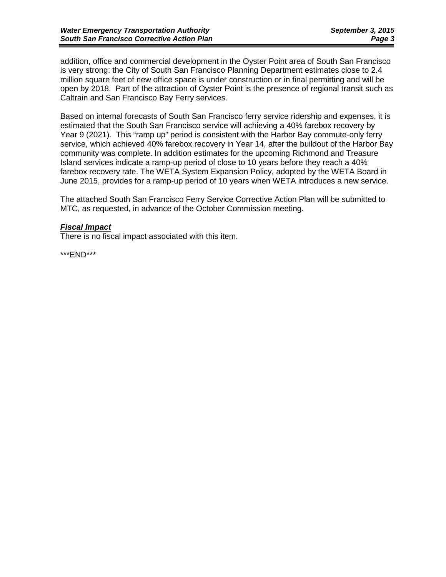addition, office and commercial development in the Oyster Point area of South San Francisco is very strong: the City of South San Francisco Planning Department estimates close to 2.4 million square feet of new office space is under construction or in final permitting and will be open by 2018. Part of the attraction of Oyster Point is the presence of regional transit such as Caltrain and San Francisco Bay Ferry services.

Based on internal forecasts of South San Francisco ferry service ridership and expenses, it is estimated that the South San Francisco service will achieving a 40% farebox recovery by Year 9 (2021). This "ramp up" period is consistent with the Harbor Bay commute-only ferry service, which achieved 40% farebox recovery in Year 14, after the buildout of the Harbor Bay community was complete. In addition estimates for the upcoming Richmond and Treasure Island services indicate a ramp-up period of close to 10 years before they reach a 40% farebox recovery rate. The WETA System Expansion Policy, adopted by the WETA Board in June 2015, provides for a ramp-up period of 10 years when WETA introduces a new service.

The attached South San Francisco Ferry Service Corrective Action Plan will be submitted to MTC, as requested, in advance of the October Commission meeting.

#### *Fiscal Impact*

There is no fiscal impact associated with this item.

\*\*\*END\*\*\*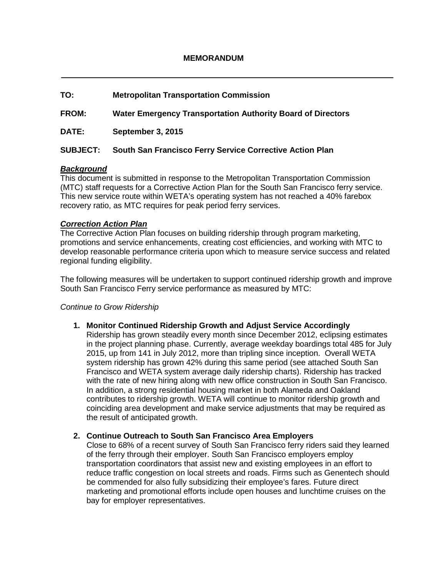# **TO: Metropolitan Transportation Commission FROM: Water Emergency Transportation Authority Board of Directors DATE: September 3, 2015 SUBJECT: South San Francisco Ferry Service Corrective Action Plan**

#### *Background*

This document is submitted in response to the Metropolitan Transportation Commission (MTC) staff requests for a Corrective Action Plan for the South San Francisco ferry service. This new service route within WETA's operating system has not reached a 40% farebox recovery ratio, as MTC requires for peak period ferry services.

#### *Correction Action Plan*

The Corrective Action Plan focuses on building ridership through program marketing, promotions and service enhancements, creating cost efficiencies, and working with MTC to develop reasonable performance criteria upon which to measure service success and related regional funding eligibility.

The following measures will be undertaken to support continued ridership growth and improve South San Francisco Ferry service performance as measured by MTC:

#### *Continue to Grow Ridership*

**1. Monitor Continued Ridership Growth and Adjust Service Accordingly**

Ridership has grown steadily every month since December 2012, eclipsing estimates in the project planning phase. Currently, average weekday boardings total 485 for July 2015, up from 141 in July 2012, more than tripling since inception. Overall WETA system ridership has grown 42% during this same period (see attached South San Francisco and WETA system average daily ridership charts). Ridership has tracked with the rate of new hiring along with new office construction in South San Francisco. In addition, a strong residential housing market in both Alameda and Oakland contributes to ridership growth. WETA will continue to monitor ridership growth and coinciding area development and make service adjustments that may be required as the result of anticipated growth.

#### **2. Continue Outreach to South San Francisco Area Employers**

Close to 68% of a recent survey of South San Francisco ferry riders said they learned of the ferry through their employer. South San Francisco employers employ transportation coordinators that assist new and existing employees in an effort to reduce traffic congestion on local streets and roads. Firms such as Genentech should be commended for also fully subsidizing their employee's fares. Future direct marketing and promotional efforts include open houses and lunchtime cruises on the bay for employer representatives.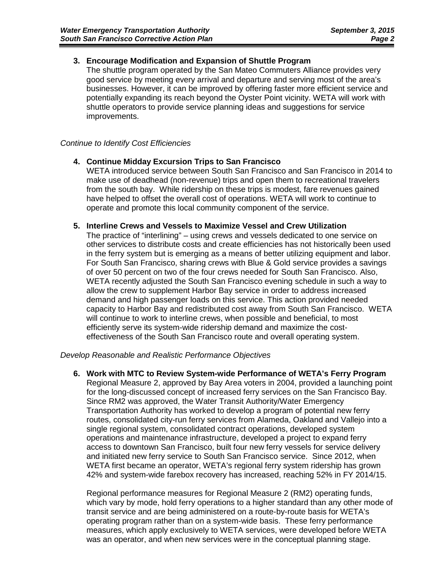#### **3. Encourage Modification and Expansion of Shuttle Program**

The shuttle program operated by the San Mateo Commuters Alliance provides very good service by meeting every arrival and departure and serving most of the area's businesses. However, it can be improved by offering faster more efficient service and potentially expanding its reach beyond the Oyster Point vicinity. WETA will work with shuttle operators to provide service planning ideas and suggestions for service improvements.

#### *Continue to Identify Cost Efficiencies*

#### **4. Continue Midday Excursion Trips to San Francisco**

WETA introduced service between South San Francisco and San Francisco in 2014 to make use of deadhead (non-revenue) trips and open them to recreational travelers from the south bay. While ridership on these trips is modest, fare revenues gained have helped to offset the overall cost of operations. WETA will work to continue to operate and promote this local community component of the service.

#### **5. Interline Crews and Vessels to Maximize Vessel and Crew Utilization**

The practice of "interlining" – using crews and vessels dedicated to one service on other services to distribute costs and create efficiencies has not historically been used in the ferry system but is emerging as a means of better utilizing equipment and labor. For South San Francisco, sharing crews with Blue & Gold service provides a savings of over 50 percent on two of the four crews needed for South San Francisco. Also, WETA recently adjusted the South San Francisco evening schedule in such a way to allow the crew to supplement Harbor Bay service in order to address increased demand and high passenger loads on this service. This action provided needed capacity to Harbor Bay and redistributed cost away from South San Francisco. WETA will continue to work to interline crews, when possible and beneficial, to most efficiently serve its system-wide ridership demand and maximize the costeffectiveness of the South San Francisco route and overall operating system.

#### *Develop Reasonable and Realistic Performance Objectives*

**6. Work with MTC to Review System-wide Performance of WETA's Ferry Program** Regional Measure 2, approved by Bay Area voters in 2004, provided a launching point for the long-discussed concept of increased ferry services on the San Francisco Bay. Since RM2 was approved, the Water Transit Authority/Water Emergency Transportation Authority has worked to develop a program of potential new ferry routes, consolidated city-run ferry services from Alameda, Oakland and Vallejo into a single regional system, consolidated contract operations, developed system operations and maintenance infrastructure, developed a project to expand ferry access to downtown San Francisco, built four new ferry vessels for service delivery and initiated new ferry service to South San Francisco service. Since 2012, when WETA first became an operator, WETA's regional ferry system ridership has grown 42% and system-wide farebox recovery has increased, reaching 52% in FY 2014/15.

Regional performance measures for Regional Measure 2 (RM2) operating funds, which vary by mode, hold ferry operations to a higher standard than any other mode of transit service and are being administered on a route-by-route basis for WETA's operating program rather than on a system-wide basis. These ferry performance measures, which apply exclusively to WETA services, were developed before WETA was an operator, and when new services were in the conceptual planning stage.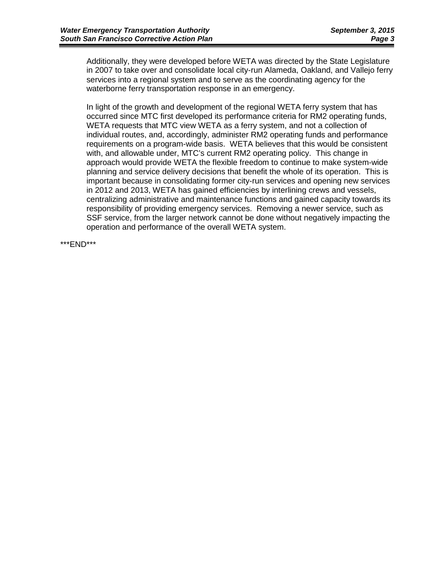Additionally, they were developed before WETA was directed by the State Legislature in 2007 to take over and consolidate local city-run Alameda, Oakland, and Vallejo ferry services into a regional system and to serve as the coordinating agency for the waterborne ferry transportation response in an emergency.

In light of the growth and development of the regional WETA ferry system that has occurred since MTC first developed its performance criteria for RM2 operating funds, WETA requests that MTC view WETA as a ferry system, and not a collection of individual routes, and, accordingly, administer RM2 operating funds and performance requirements on a program-wide basis. WETA believes that this would be consistent with, and allowable under, MTC's current RM2 operating policy. This change in approach would provide WETA the flexible freedom to continue to make system-wide planning and service delivery decisions that benefit the whole of its operation. This is important because in consolidating former city-run services and opening new services in 2012 and 2013, WETA has gained efficiencies by interlining crews and vessels, centralizing administrative and maintenance functions and gained capacity towards its responsibility of providing emergency services. Removing a newer service, such as SSF service, from the larger network cannot be done without negatively impacting the operation and performance of the overall WETA system.

\*\*\*END\*\*\*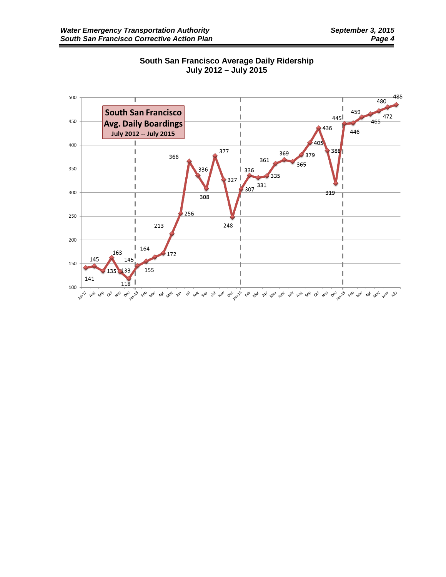

#### **South San Francisco Average Daily Ridership July 2012 – July 2015**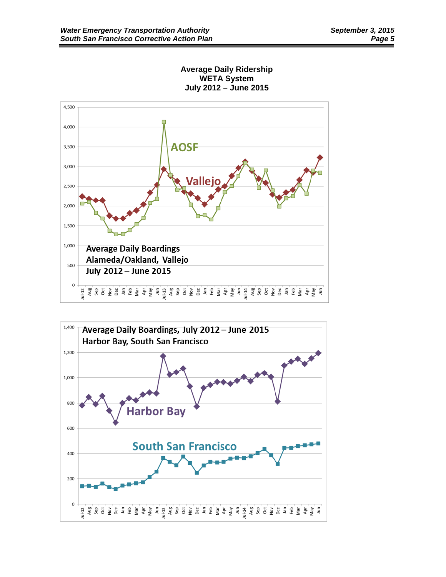



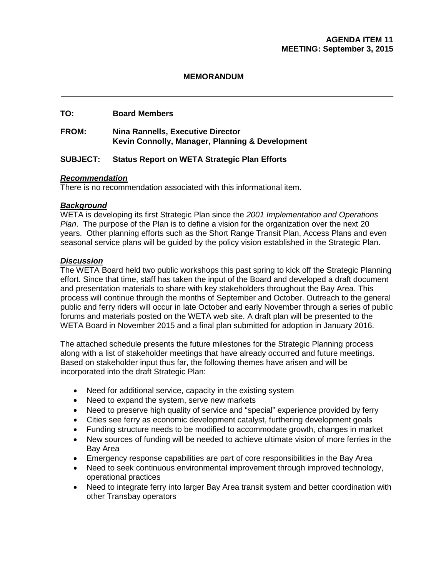#### **MEMORANDUM**

# **TO: Board Members**

#### **FROM: Nina Rannells, Executive Director Kevin Connolly, Manager, Planning & Development**

# **SUBJECT: Status Report on WETA Strategic Plan Efforts**

#### *Recommendation*

There is no recommendation associated with this informational item.

#### *Background*

WETA is developing its first Strategic Plan since the *2001 Implementation and Operations Plan*. The purpose of the Plan is to define a vision for the organization over the next 20 years. Other planning efforts such as the Short Range Transit Plan, Access Plans and even seasonal service plans will be guided by the policy vision established in the Strategic Plan.

#### *Discussion*

The WETA Board held two public workshops this past spring to kick off the Strategic Planning effort. Since that time, staff has taken the input of the Board and developed a draft document and presentation materials to share with key stakeholders throughout the Bay Area. This process will continue through the months of September and October. Outreach to the general public and ferry riders will occur in late October and early November through a series of public forums and materials posted on the WETA web site. A draft plan will be presented to the WETA Board in November 2015 and a final plan submitted for adoption in January 2016.

The attached schedule presents the future milestones for the Strategic Planning process along with a list of stakeholder meetings that have already occurred and future meetings. Based on stakeholder input thus far, the following themes have arisen and will be incorporated into the draft Strategic Plan:

- Need for additional service, capacity in the existing system
- Need to expand the system, serve new markets
- Need to preserve high quality of service and "special" experience provided by ferry
- Cities see ferry as economic development catalyst, furthering development goals
- Funding structure needs to be modified to accommodate growth, changes in market
- New sources of funding will be needed to achieve ultimate vision of more ferries in the Bay Area
- Emergency response capabilities are part of core responsibilities in the Bay Area
- Need to seek continuous environmental improvement through improved technology, operational practices
- Need to integrate ferry into larger Bay Area transit system and better coordination with other Transbay operators